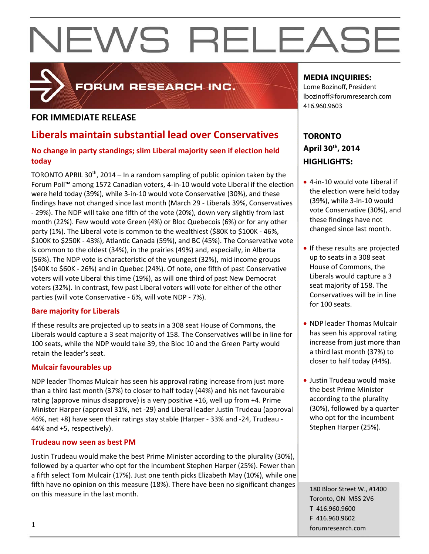## **FOR IMMEDIATE RELEASE**

## **Liberals maintain substantial lead over Conservatives**

FORUM RESEARCH INC.

## **No change in party standings; slim Liberal majority seen if election held today**

TORONTO APRIL 30<sup>th</sup>, 2014 – In a random sampling of public opinion taken by the Forum Poll™ among 1572 Canadian voters, 4‐in‐10 would vote Liberal if the election were held today (39%), while 3‐in‐10 would vote Conservative (30%), and these findings have not changed since last month (March 29 ‐ Liberals 39%, Conservatives ‐ 29%). The NDP will take one fifth of the vote (20%), down very slightly from last month (22%). Few would vote Green (4%) or Bloc Quebecois (6%) or for any other party (1%). The Liberal vote is common to the wealthiest (\$80K to \$100K ‐ 46%, \$100K to \$250K ‐ 43%), Atlantic Canada (59%), and BC (45%). The Conservative vote is common to the oldest (34%), in the prairies (49%) and, especially, in Alberta (56%). The NDP vote is characteristic of the youngest (32%), mid income groups (\$40K to \$60K ‐ 26%) and in Quebec (24%). Of note, one fifth of past Conservative voters will vote Liberal this time (19%), as will one third of past New Democrat voters (32%). In contrast, few past Liberal voters will vote for either of the other parties (will vote Conservative ‐ 6%, will vote NDP ‐ 7%).

## **Bare majority for Liberals**

If these results are projected up to seats in a 308 seat House of Commons, the Liberals would capture a 3 seat majority of 158. The Conservatives will be in line for 100 seats, while the NDP would take 39, the Bloc 10 and the Green Party would retain the leader's seat.

### **Mulcair favourables up**

NDP leader Thomas Mulcair has seen his approval rating increase from just more than a third last month (37%) to closer to half today (44%) and his net favourable rating (approve minus disapprove) is a very positive +16, well up from +4. Prime Minister Harper (approval 31%, net ‐29) and Liberal leader Justin Trudeau (approval 46%, net +8) have seen their ratings stay stable (Harper ‐ 33% and ‐24, Trudeau ‐ 44% and +5, respectively).

### **Trudeau now seen as best PM**

Justin Trudeau would make the best Prime Minister according to the plurality (30%), followed by a quarter who opt for the incumbent Stephen Harper (25%). Fewer than a fifth select Tom Mulcair (17%). Just one tenth picks Elizabeth May (10%), while one fifth have no opinion on this measure (18%). There have been no significant changes on this measure in the last month.

## **MEDIA INQUIRIES:**

Lorne Bozinoff, President lbozinoff@forumresearch.com 416.960.9603

## **TORONTO April 30th, 2014 HIGHLIGHTS:**

- 4-in-10 would vote Liberal if the election were held today (39%), while 3‐in‐10 would vote Conservative (30%), and these findings have not changed since last month.
- If these results are projected up to seats in a 308 seat House of Commons, the Liberals would capture a 3 seat majority of 158. The Conservatives will be in line for 100 seats.
- NDP leader Thomas Mulcair has seen his approval rating increase from just more than a third last month (37%) to closer to half today (44%).
- Justin Trudeau would make the best Prime Minister according to the plurality (30%), followed by a quarter who opt for the incumbent Stephen Harper (25%).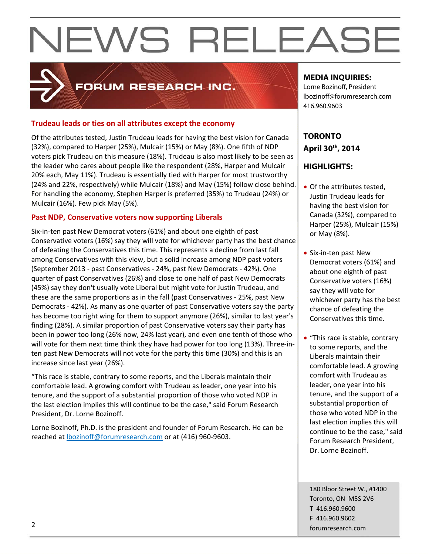## FORUM RESEARCH INC.

## **Trudeau leads or ties on all attributes except the economy**

Of the attributes tested, Justin Trudeau leads for having the best vision for Canada (32%), compared to Harper (25%), Mulcair (15%) or May (8%). One fifth of NDP voters pick Trudeau on this measure (18%). Trudeau is also most likely to be seen as the leader who cares about people like the respondent (28%, Harper and Mulcair 20% each, May 11%). Trudeau is essentially tied with Harper for most trustworthy (24% and 22%, respectively) while Mulcair (18%) and May (15%) follow close behind. For handling the economy, Stephen Harper is preferred (35%) to Trudeau (24%) or Mulcair (16%). Few pick May (5%).

## **Past NDP, Conservative voters now supporting Liberals**

Six‐in‐ten past New Democrat voters (61%) and about one eighth of past Conservative voters (16%) say they will vote for whichever party has the best chance of defeating the Conservatives this time. This represents a decline from last fall among Conservatives with this view, but a solid increase among NDP past voters (September 2013 ‐ past Conservatives ‐ 24%, past New Democrats ‐ 42%). One quarter of past Conservatives (26%) and close to one half of past New Democrats (45%) say they don't usually vote Liberal but might vote for Justin Trudeau, and these are the same proportions as in the fall (past Conservatives ‐ 25%, past New Democrats ‐ 42%). As many as one quarter of past Conservative voters say the party has become too right wing for them to support anymore (26%), similar to last year's finding (28%). A similar proportion of past Conservative voters say their party has been in power too long (26% now, 24% last year), and even one tenth of those who will vote for them next time think they have had power for too long (13%). Three-inten past New Democrats will not vote for the party this time (30%) and this is an increase since last year (26%).

"This race is stable, contrary to some reports, and the Liberals maintain their comfortable lead. A growing comfort with Trudeau as leader, one year into his tenure, and the support of a substantial proportion of those who voted NDP in the last election implies this will continue to be the case," said Forum Research President, Dr. Lorne Bozinoff.

Lorne Bozinoff, Ph.D. is the president and founder of Forum Research. He can be reached at **bozinoff@forumresearch.com** or at (416) 960-9603.

## **MEDIA INQUIRIES:**

Lorne Bozinoff, President lbozinoff@forumresearch.com 416.960.9603

## **TORONTO April 30th, 2014**

## **HIGHLIGHTS:**

- Of the attributes tested. Justin Trudeau leads for having the best vision for Canada (32%), compared to Harper (25%), Mulcair (15%) or May (8%).
- Six‐in‐ten past New Democrat voters (61%) and about one eighth of past Conservative voters (16%) say they will vote for whichever party has the best chance of defeating the Conservatives this time.
- "This race is stable, contrary to some reports, and the Liberals maintain their comfortable lead. A growing comfort with Trudeau as leader, one year into his tenure, and the support of a substantial proportion of those who voted NDP in the last election implies this will continue to be the case," said Forum Research President, Dr. Lorne Bozinoff.

180 Bloor Street W., #1400 Toronto, ON M5S 2V6 T 416.960.9600 F 416.960.9602 example to the contract of the contract of the contract of the contract of the contract of the contract of the contract of the contract of the contract of the contract of the contract of the contract of the contract of the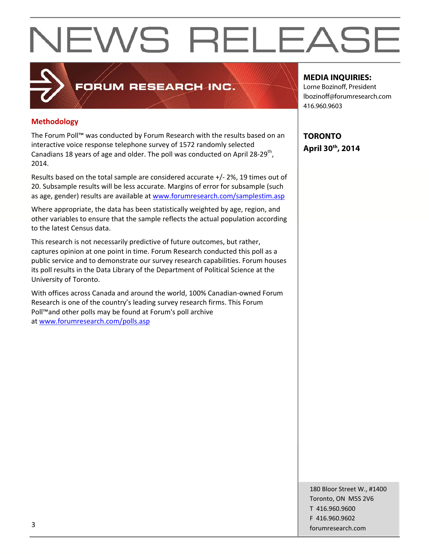**Methodology**

The Forum Poll™ was conducted by Forum Research with the results based on an interactive voice response telephone survey of 1572 randomly selected Canadians 18 years of age and older. The poll was conducted on April 28-29<sup>th</sup>, 2014.

FORUM RESEARCH INC.

Results based on the total sample are considered accurate +/‐ 2%, 19 times out of 20. Subsample results will be less accurate. Margins of error for subsample (such as age, gender) results are available at www.forumresearch.com/samplestim.asp

Where appropriate, the data has been statistically weighted by age, region, and other variables to ensure that the sample reflects the actual population according to the latest Census data.

This research is not necessarily predictive of future outcomes, but rather, captures opinion at one point in time. Forum Research conducted this poll as a public service and to demonstrate our survey research capabilities. Forum houses its poll results in the Data Library of the Department of Political Science at the University of Toronto.

With offices across Canada and around the world, 100% Canadian‐owned Forum Research is one of the country's leading survey research firms. This Forum Poll™and other polls may be found at Forum's poll archive at www.forumresearch.com/polls.asp

**MEDIA INQUIRIES:** 

Lorne Bozinoff, President lbozinoff@forumresearch.com 416.960.9603

**TORONTO April 30th, 2014**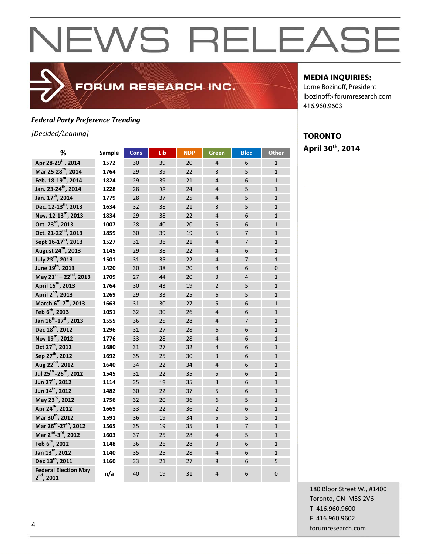## FORUM RESEARCH INC.

## *Federal Party Preference Trending*

*[Decided/Leaning]*

| %                                              | Sample | <b>Cons</b> | Lib | <b>NDP</b> | Green          | <b>Bloc</b>    | Other          |
|------------------------------------------------|--------|-------------|-----|------------|----------------|----------------|----------------|
| Apr 28-29 <sup>th</sup> , 2014                 | 1572   | 30          | 39  | 20         | $\overline{4}$ | 6              | $\mathbf{1}$   |
| Mar 25-28 <sup>th</sup> , 2014                 | 1764   | 29          | 39  | 22         | $\overline{3}$ | 5              | $\mathbf{1}$   |
| Feb. 18-19 <sup>th</sup> , 2014                | 1824   | 29          | 39  | 21         | $\overline{4}$ | 6              | $\mathbf{1}$   |
| Jan. 23-24 <sup>th</sup> , 2014                | 1228   | 28          | 38  | 24         | $\overline{4}$ | 5              | $\mathbf{1}$   |
| Jan. 17 <sup>th</sup> , 2014                   | 1779   | 28          | 37  | 25         | $\overline{4}$ | 5              | $\mathbf{1}$   |
| Dec. 12-13 <sup>th</sup> , 2013                | 1634   | 32          | 38  | 21         | $\overline{3}$ | 5              | $\mathbf{1}$   |
| Nov. 12-13 <sup>th</sup> , 2013                | 1834   | 29          | 38  | 22         | $\overline{4}$ | 6              | $\mathbf{1}$   |
| Oct. 23 <sup>rd</sup> , 2013                   | 1007   | 28          | 40  | 20         | 5              | 6              | $\mathbf{1}$   |
| Oct. 21-22 <sup>nd</sup> , 2013                | 1859   | 30          | 39  | 19         | 5              | $\overline{7}$ | $\mathbf{1}$   |
| Sept 16-17 <sup>th</sup> , 2013                | 1527   | 31          | 36  | 21         | $\overline{4}$ | $\overline{7}$ | $\overline{1}$ |
| August 24 <sup>th</sup> , 2013                 | 1145   | 29          | 38  | 22         | $\overline{4}$ | 6              | $\mathbf{1}$   |
| July 23rd, 2013                                | 1501   | 31          | 35  | 22         | $\overline{4}$ | $\overline{7}$ | $\overline{1}$ |
| June 19 <sup>th</sup> , 2013                   | 1420   | 30          | 38  | 20         | $\overline{4}$ | 6              | $\overline{0}$ |
| May 21st - 22nd, 2013                          | 1709   | 27          | 44  | 20         | 3              | $\overline{4}$ | $\mathbf{1}$   |
| April 15 <sup>th</sup> , 2013                  | 1764   | 30          | 43  | 19         | $\overline{2}$ | 5              | $\mathbf{1}$   |
| April 2 <sup>nd</sup> , 2013                   | 1269   | 29          | 33  | 25         | 6              | 5              | $\mathbf{1}$   |
| March 6 <sup>th</sup> -7 <sup>th</sup> , 2013  | 1663   | 31          | 30  | 27         | 5              | 6              | $\mathbf{1}$   |
| Feb 6 <sup>th</sup> , 2013                     | 1051   | 32          | 30  | 26         | $\overline{4}$ | 6              | $\overline{1}$ |
| Jan 16 <sup>th</sup> -17 <sup>th</sup> , 2013  | 1555   | 36          | 25  | 28         | $\overline{4}$ | $\overline{7}$ | $\mathbf{1}$   |
| Dec 18 <sup>th</sup> , 2012                    | 1296   | 31          | 27  | 28         | 6              | 6              | $\mathbf{1}$   |
| Nov 19 <sup>th</sup> , 2012                    | 1776   | 33          | 28  | 28         | $\overline{4}$ | 6              | $\mathbf{1}$   |
| Oct 27 <sup>th</sup> , 2012                    | 1680   | 31          | 27  | 32         | $\overline{4}$ | 6              | $\mathbf 1$    |
| Sep 27 <sup>th</sup> , 2012                    | 1692   | 35          | 25  | 30         | 3              | 6              | $\overline{1}$ |
| Aug 22 <sup>nd</sup> , 2012                    | 1640   | 34          | 22  | 34         | $\overline{4}$ | 6              | $\overline{1}$ |
| Jul 25 <sup>th</sup> -26 <sup>th</sup> , 2012  | 1545   | 31          | 22  | 35         | 5              | 6              | $\mathbf{1}$   |
| Jun 27 <sup>th</sup> , 2012                    | 1114   | 35          | 19  | 35         | 3              | 6              | $\mathbf{1}$   |
| Jun 14 <sup>th</sup> , 2012                    | 1482   | 30          | 22  | 37         | 5              | 6              | $\mathbf{1}$   |
| May 23 <sup>rd</sup> , 2012                    | 1756   | 32          | 20  | 36         | 6              | 5              | $\mathbf{1}$   |
| Apr 24 <sup>th</sup> , 2012                    | 1669   | 33          | 22  | 36         | $\overline{2}$ | 6              | $\mathbf{1}$   |
| Mar 30th, 2012                                 | 1591   | 36          | 19  | 34         | 5              | 5              | $\mathbf{1}$   |
| Mar 26 <sup>th</sup> -27 <sup>th</sup> , 2012  | 1565   | 35          | 19  | 35         | 3              | $\overline{7}$ | $\mathbf{1}$   |
| Mar 2 <sup>nd</sup> -3 <sup>rd</sup> , 2012    | 1603   | 37          | 25  | 28         | $\overline{4}$ | 5              | $\mathbf{1}$   |
| Feb 6 <sup>th</sup> , 2012                     | 1148   | 36          | 26  | 28         | 3              | 6              | $\mathbf{1}$   |
| Jan 13 <sup>th</sup> , 2012                    | 1140   | 35          | 25  | 28         | $\overline{4}$ | 6              | $\overline{1}$ |
| Dec 13 <sup>th</sup> , 2011                    | 1160   | 33          | 21  | 27         | 8              | 6              | 5              |
| <b>Federal Election May</b><br>$2^{nd}$ , 2011 | n/a    | 40          | 19  | 31         | $\overline{4}$ | 6              | $\overline{0}$ |

## **MEDIA INQUIRIES:**

Lorne Bozinoff, President lbozinoff@forumresearch.com 416.960.9603

## **TORONTO April 30th, 2014**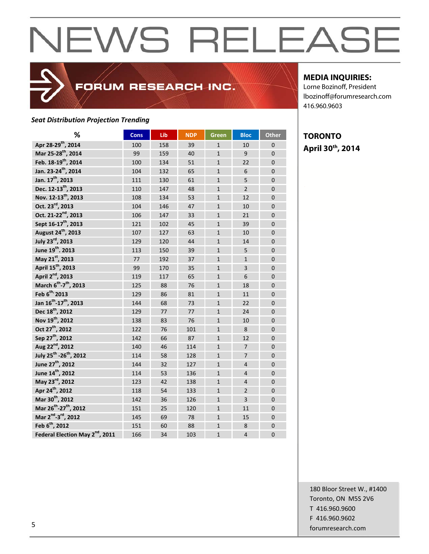## *Seat Distribution Projection Trending*

| %                                              | <b>Cons</b> | Lib | <b>NDP</b> | Green        | <b>Bloc</b>    | <b>Other</b>   |
|------------------------------------------------|-------------|-----|------------|--------------|----------------|----------------|
| Apr 28-29 <sup>th</sup> , 2014                 | 100         | 158 | 39         | $\mathbf{1}$ | 10             | $\mathbf 0$    |
| Mar 25-28 <sup>th</sup> , 2014                 | 99          | 159 | 40         | $\mathbf{1}$ | 9              | $\Omega$       |
| Feb. 18-19 <sup>th</sup> , 2014                | 100         | 134 | 51         | $\mathbf{1}$ | 22             | $\overline{0}$ |
| Jan. 23-24 <sup>th</sup> , 2014                | 104         | 132 | 65         | $\mathbf{1}$ | 6              | 0              |
| Jan. 17 <sup>th</sup> , 2013                   | 111         | 130 | 61         | $\mathbf{1}$ | 5              | $\mathbf 0$    |
| Dec. 12-13 <sup>th</sup> , 2013                | 110         | 147 | 48         | $\mathbf{1}$ | $\overline{2}$ | 0              |
| Nov. 12-13 <sup>th</sup> , 2013                | 108         | 134 | 53         | $\mathbf{1}$ | 12             | $\Omega$       |
| Oct. 23 <sup>rd</sup> , 2013                   | 104         | 146 | 47         | $\mathbf{1}$ | 10             | $\overline{0}$ |
| Oct. 21-22 <sup>nd</sup> , 2013                | 106         | 147 | 33         | $\mathbf{1}$ | 21             | $\overline{0}$ |
| Sept 16-17 <sup>th</sup> , 2013                | 121         | 102 | 45         | $\mathbf{1}$ | 39             | $\overline{0}$ |
| August 24 <sup>th</sup> , 2013                 | 107         | 127 | 63         | $\mathbf{1}$ | 10             | $\mathbf 0$    |
| July 23rd, 2013                                | 129         | 120 | 44         | $\mathbf{1}$ | 14             | 0              |
| June 19 <sup>th</sup> , 2013                   | 113         | 150 | 39         | $\mathbf{1}$ | 5              | $\Omega$       |
| May 21st, 2013                                 | 77          | 192 | 37         | $\mathbf{1}$ | $\mathbf{1}$   | $\Omega$       |
| April 15 <sup>th</sup> , 2013                  | 99          | 170 | 35         | $\mathbf{1}$ | $\overline{3}$ | $\overline{0}$ |
| April 2 <sup>nd</sup> , 2013                   | 119         | 117 | 65         | $\mathbf{1}$ | 6              | $\mathbf 0$    |
| March 6 <sup>th</sup> -7 <sup>th</sup> , 2013  | 125         | 88  | 76         | $\mathbf{1}$ | 18             | 0              |
| Feb 6 <sup>th</sup> /2013                      | 129         | 86  | 81         | $\mathbf{1}$ | 11             | $\overline{0}$ |
| Jan 16 <sup>th</sup> -17 <sup>th</sup> , 2013  | 144         | 68  | 73         | $\mathbf{1}$ | 22             | 0              |
| Dec 18 <sup>th</sup> , 2012                    | 129         | 77  | 77         | $\mathbf{1}$ | 24             | $\Omega$       |
| Nov 19 <sup>th</sup> , 2012                    | 138         | 83  | 76         | $\mathbf{1}$ | 10             | $\overline{0}$ |
| Oct 27 <sup>th</sup> , 2012                    | 122         | 76  | 101        | $\mathbf{1}$ | 8              | 0              |
| Sep 27 <sup>th</sup> , 2012                    | 142         | 66  | 87         | $\mathbf{1}$ | 12             | $\overline{0}$ |
| Aug 22 <sup>nd</sup> , 2012                    | 140         | 46  | 114        | $\mathbf{1}$ | $\overline{7}$ | 0              |
| July 25 <sup>th</sup> -26 <sup>th</sup> , 2012 | 114         | 58  | 128        | $\mathbf{1}$ | $\overline{7}$ | $\overline{0}$ |
| June 27 <sup>th</sup> , 2012                   | 144         | 32  | 127        | $\mathbf{1}$ | 4              | $\mathbf 0$    |
| June 14 <sup>th</sup> , 2012                   | 114         | 53  | 136        | $\mathbf{1}$ | 4              | 0              |
| May 23 <sup>rd</sup> , 2012                    | 123         | 42  | 138        | $\mathbf{1}$ | 4              | $\overline{0}$ |
| Apr 24 <sup>th</sup> , 2012                    | 118         | 54  | 133        | $\mathbf{1}$ | $\overline{2}$ | $\Omega$       |
| Mar 30 <sup>th</sup> , 2012                    | 142         | 36  | 126        | $\mathbf{1}$ | $\overline{3}$ | $\overline{0}$ |
| Mar 26 <sup>th</sup> -27 <sup>th</sup> , 2012  | 151         | 25  | 120        | $\mathbf{1}$ | 11             | 0              |
| Mar 2 <sup>nd</sup> -3 <sup>rd</sup> , 2012    | 145         | 69  | 78         | $\mathbf{1}$ | 15             | 0              |
| Feb 6 <sup>th</sup> , 2012                     | 151         | 60  | 88         | $\mathbf{1}$ | 8              | $\overline{0}$ |
| Federal Election May 2 <sup>nd</sup> , 2011    | 166         | 34  | 103        | $\mathbf{1}$ | $\overline{4}$ | $\mathbf 0$    |

FORUM RESEARCH INC.

### **MEDIA INQUIRIES:**

Lorne Bozinoff, President lbozinoff@forumresearch.com 416.960.9603

## **TORONTO April 30th, 2014**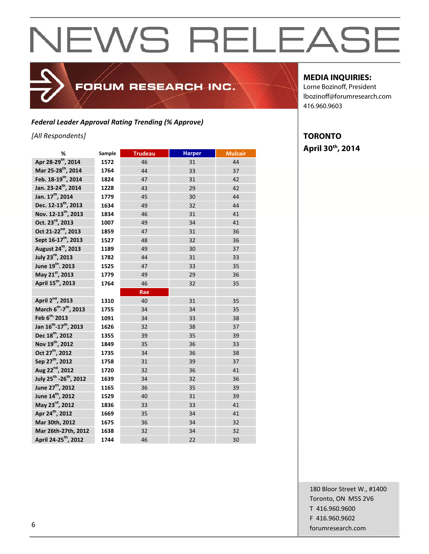## FORUM RESEARCH INC.

## *Federal Leader Approval Rating Trending (% Approve)*

*[All Respondents]*

| %                                              | Sample | <b>Trudeau</b> | <b>Harper</b> | <b>Mulcair</b> |
|------------------------------------------------|--------|----------------|---------------|----------------|
| Apr 28-29 <sup>th</sup> , 2014                 | 1572   | 46             | 31            | 44             |
| Mar 25-28 <sup>th</sup> , 2014                 | 1764   | 44             | 33            | 37             |
| Feb. 18-19 <sup>th</sup> , 2014                | 1824   | 47             | 31            | 42             |
| Jan. 23-24 <sup>th</sup> , 2014                | 1228   | 43             | 29            | 42             |
| Jan. 17 <sup>th</sup> , 2014                   | 1779   | 45             | 30            | 44             |
| Dec. 12-13 <sup>th</sup> , 2013                | 1634   | 49             | 32            | 44             |
| Nov. 12-13 <sup>th</sup> , 2013                | 1834   | 46             | 31            | 41             |
| Oct. 23rd, 2013                                | 1007   | 49             | 34            | 41             |
| Oct 21-22 <sup>nd</sup> , 2013                 | 1859   | 47             | 31            | 36             |
| Sept 16-17 <sup>th</sup> , 2013                | 1527   | 48             | 32            | 36             |
| August 24 <sup>th</sup> , 2013                 | 1189   | 49             | 30            | 37             |
| July 23rd, 2013                                | 1782   | 44             | 31            | 33             |
| June 19 <sup>th</sup> . 2013                   | 1525   | 47             | 33            | 35             |
| May 21st, 2013                                 | 1779   | 49             | 29            | 36             |
| April 15 <sup>th</sup> , 2013                  | 1764   | 46             | 32            | 35             |
|                                                |        | Rae            |               |                |
| April 2 <sup>nd</sup> , 2013                   | 1310   | 40             | 31            | 35             |
| March 6 <sup>th</sup> -7 <sup>th</sup> , 2013  | 1755   | 34             | 34            | 35             |
| Feb 6 <sup>th</sup> /2013                      | 1091   | 34             | 33            | 38             |
| Jan 16 <sup>th</sup> -17 <sup>th</sup> , 2013  | 1626   | 32             | 38            | 37             |
| Dec 18 <sup>th</sup> , 2012                    | 1355   | 39             | 35            | 39             |
| Nov 19 <sup>th</sup> , 2012                    | 1849   | 35             | 36            | 33             |
| Oct 27 <sup>th</sup> , 2012                    | 1735   | 34             | 36            | 38             |
| Sep 27 <sup>th</sup> , 2012                    | 1758   | 31             | 39            | 37             |
| Aug 22 <sup>nd</sup> , 2012                    | 1720   | 32             | 36            | 41             |
| July 25 <sup>th</sup> -26 <sup>th</sup> , 2012 | 1639   | 34             | 32            | 36             |
| June 27 <sup>th</sup> , 2012                   | 1165   | 36             | 35            | 39             |
| June 14 <sup>th</sup> , 2012                   | 1529   | 40             | 31            | 39             |
| May 23 <sup>rd</sup> , 2012                    | 1836   | 33             | 33            | 41             |
| Apr 24 <sup>th</sup> , 2012                    | 1669   | 35             | 34            | 41             |
| Mar 30th, 2012                                 | 1675   | 36             | 34            | 32             |
| Mar 26th-27th, 2012                            | 1638   | 32             | 34            | 32             |
| April 24-25 <sup>th</sup> , 2012               | 1744   | 46             | 22            | 30             |

## **MEDIA INQUIRIES:**

Lorne Bozinoff, President lbozinoff@forumresearch.com 416.960.9603

## **TORONTO April 30th, 2014**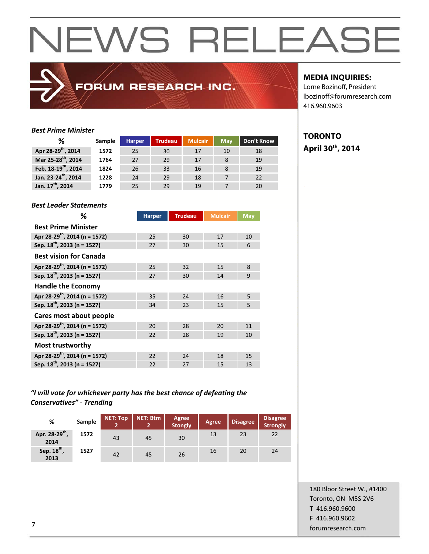## FORUM RESEARCH INC.

## **MEDIA INQUIRIES:**

**TORONTO** 

**April 30th, 2014** 

Lorne Bozinoff, President lbozinoff@forumresearch.com 416.960.9603

### *Best Prime Minister*

| ℅                               | Sample | <b>Harper</b> | <b>Trudeau</b> | <b>Mulcair</b> | <b>May</b> | Don't Know |
|---------------------------------|--------|---------------|----------------|----------------|------------|------------|
| Apr 28-29 <sup>th</sup> , 2014  | 1572   | 25            | 30             | 17             | 10         | 18         |
| Mar 25-28 <sup>th</sup> , 2014  | 1764   | 27            | 29             | 17             |            | 19         |
| Feb. 18-19 <sup>th</sup> , 2014 | 1824   | 26            | 33             | 16             |            | 19         |
| Jan. 23-24 <sup>th</sup> , 2014 | 1228   | 24            | 29             | 18             |            | 22         |
| Jan. 17 <sup>th</sup> , 2014    | 1779   | 25            | 29             | 19             |            | 20         |

### *Best Leader Statements*

| ℅                                         | <b>Harper</b> | <b>Trudeau</b> | <b>Mulcair</b> | <b>May</b>   |
|-------------------------------------------|---------------|----------------|----------------|--------------|
| <b>Best Prime Minister</b>                |               |                |                |              |
| Apr 28-29 <sup>th</sup> , 2014 (n = 1572) | 25            | 30             | 17             | 10           |
| Sep. $18^{th}$ , 2013 (n = 1527)          | 27            | 30             | 15             | 6            |
| <b>Best vision for Canada</b>             |               |                |                |              |
| Apr 28-29 <sup>th</sup> , 2014 (n = 1572) | 25            | 32             | 15             | $\mathbf{8}$ |
| Sep. 18 <sup>th</sup> , 2013 (n = 1527)   | 27            | 30             | 14             | 9            |
| <b>Handle the Economy</b>                 |               |                |                |              |
| Apr 28-29 <sup>th</sup> , 2014 (n = 1572) | 35            | 24             | 16             | 5            |
| Sep. 18 <sup>th</sup> , 2013 (n = 1527)   | 34            | 23             | 15             | 5            |
| Cares most about people                   |               |                |                |              |
| Apr 28-29 <sup>th</sup> , 2014 (n = 1572) | 20            | 28             | 20             | 11           |
| Sep. 18 <sup>th</sup> , 2013 (n = 1527)   | 22            | 28             | 19             | 10           |
| <b>Most trustworthy</b>                   |               |                |                |              |
| Apr 28-29 <sup>th</sup> , 2014 (n = 1572) | 22            | 24             | 18             | 15           |
| Sep. 18 <sup>th</sup> , 2013 (n = 1527)   | 22            | 27             | 15             | 13           |

## *"I will vote for whichever party has the best chance of defeating the Conservatives" ‐ Trending*

| %                                  | Sample | <b>NET: Top</b> | NET: Btm | Agree<br><b>Stongly</b> | Agree | <b>Disagree</b> | <b>Disagree</b><br>Strongly |
|------------------------------------|--------|-----------------|----------|-------------------------|-------|-----------------|-----------------------------|
| Apr. 28-29 <sup>th</sup> ,<br>2014 | 1572   | 43              | 45       | 30                      | 13    | 23              | 22                          |
| Sep. 18 <sup>th</sup> ,<br>2013    | 1527   | 42              | 45       | 26                      | 16    | 20              | 24                          |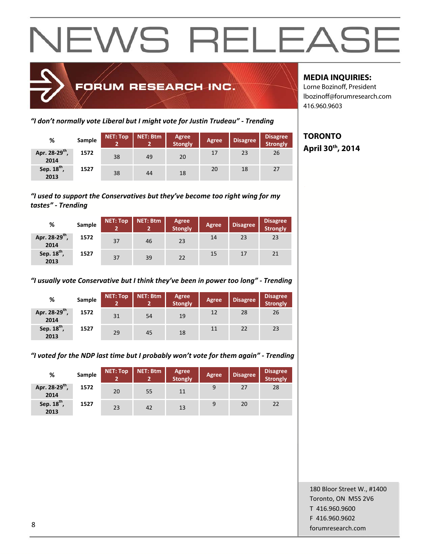

*"I don't normally vote Liberal but I might vote for Justin Trudeau" ‐ Trending*

| %                                  | Sample | <b>NET: Top</b> | <b>NET: Btm</b> | <b>Agree</b><br><b>Stongly</b> | <b>Agree</b> | <b>Disagree</b> | <b>Disagree</b><br>Strongly |
|------------------------------------|--------|-----------------|-----------------|--------------------------------|--------------|-----------------|-----------------------------|
| Apr. 28-29 <sup>th</sup> ,<br>2014 | 1572   | 38              | 49              | 20                             | 17           | 23              | 26                          |
| Sep. 18 <sup>th</sup> ,<br>2013    | 1527   | 38              | 44              | 18                             | 20           | 18              | 27                          |

*"I used to support the Conservatives but they've become too right wing for my tastes" ‐ Trending*

| %                                  | Sample | <b>NET: Top</b> | <b>NET: Btm</b> | Agree<br><b>Stongly</b> | <b>Agree</b> | <b>Disagree</b> | <b>Disagree</b><br>Strongly |
|------------------------------------|--------|-----------------|-----------------|-------------------------|--------------|-----------------|-----------------------------|
| Apr. 28-29 <sup>th</sup> ,<br>2014 | 1572   | 37              | 46              | 23                      | 14           | 23              | 23                          |
| Sep. 18 <sup>th</sup> ,<br>2013    | 1527   | 37              | 39              | 22                      | 15           | 17              | 21                          |

## *"I usually vote Conservative but I think they've been in power too long" ‐ Trending*

| %                                  | Sample | <b>NET: Top</b><br>2 | NET: Btm | Agree<br><b>Stongly</b> | <b>Agree</b> | <b>Disagree</b> | <b>Disagree</b><br>Strongly |
|------------------------------------|--------|----------------------|----------|-------------------------|--------------|-----------------|-----------------------------|
| Apr. 28-29 <sup>th</sup> ,<br>2014 | 1572   | 31                   | 54       | 19                      | 12           | 28              | 26                          |
| Sep. 18 <sup>th</sup> ,<br>2013    | 1527   | 29                   | 45       | 18                      | 11           | 22              | 23                          |

*"I voted for the NDP last time but I probably won't vote for them again" ‐ Trending*

| %                                  | Sample | <b>NET: Top</b><br>2 | <b>NET: Btm</b> | Agree<br><b>Stongly</b> | <b>Agree</b> | <b>Disagree</b> | <b>Disagree</b><br>Strongly |
|------------------------------------|--------|----------------------|-----------------|-------------------------|--------------|-----------------|-----------------------------|
| Apr. 28-29 <sup>th</sup> ,<br>2014 | 1572   | 20                   | 55              | 11                      | 9            | 27              | 28                          |
| Sep. 18 <sup>th</sup> ,<br>2013    | 1527   | 23                   | 42              | 13                      | 9            | 20              | 22                          |

## **MEDIA INQUIRIES:**

Lorne Bozinoff, President lbozinoff@forumresearch.com 416.960.9603

**TORONTO April 30th, 2014** 

180 Bloor Street W., #1400 Toronto, ON M5S 2V6 T 416.960.9600 F 416.960.9602 end to the state of the state of the state of the state of the state of the state of the state of the state of the state of the state of the state of the state of the state of the state of the state of the state of the sta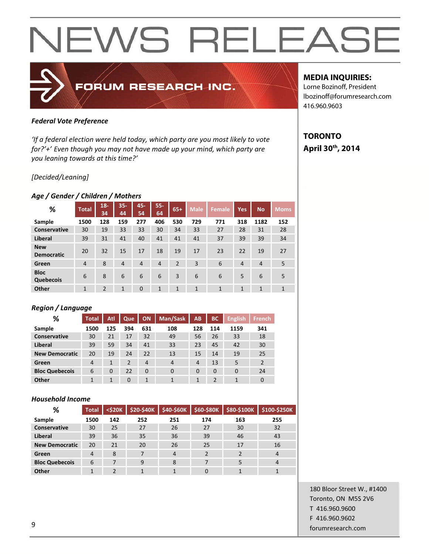## FORUM RESEARCH INC.

## *Federal Vote Preference*

*'If a federal election were held today, which party are you most likely to vote for?'+' Even though you may not have made up your mind, which party are you leaning towards at this time?'*

## *[Decided/Leaning]*

## *Age / Gender / Children / Mothers*

| %                               | <b>Total</b>   | $18 -$<br>34   | $35 -$<br>44 | 45-<br>54      | $55 -$<br>64   | $65+$          | <b>Male</b>  | <b>Female</b> | <b>Yes</b>     | <b>No</b>      | <b>Moms</b>  |
|---------------------------------|----------------|----------------|--------------|----------------|----------------|----------------|--------------|---------------|----------------|----------------|--------------|
| Sample                          | 1500           | 128            | 159          | 277            | 406            | 530            | 729          | 771           | 318            | 1182           | 152          |
| Conservative                    | 30             | 19             | 33           | 33             | 30             | 34             | 33           | 27            | 28             | 31             | 28           |
| Liberal                         | 39             | 31             | 41           | 40             | 41             | 41             | 41           | 37            | 39             | 39             | 34           |
| <b>New</b><br><b>Democratic</b> | 20             | 32             | 15           | 17             | 18             | 19             | 17           | 23            | 22             | 19             | 27           |
| Green                           | $\overline{4}$ | 8              | 4            | $\overline{4}$ | $\overline{4}$ | $\overline{2}$ | 3            | 6             | $\overline{4}$ | $\overline{4}$ | 5            |
| <b>Bloc</b><br>Quebecois        | 6              | 8              | 6            | 6              | 6              | 3              | 6            | 6             | 5              | 6              | 5            |
| Other                           | $\mathbf{1}$   | $\overline{2}$ | 1            | $\mathbf 0$    | 1              | $\mathbf{1}$   | $\mathbf{1}$ | 1             | 1              | $\mathbf{1}$   | $\mathbf{1}$ |

## *Region / Language*

| %                     | <b>Total</b> | Atl      | Que      | <b>ON</b>      | Man/Sask       | AB             | <b>BC</b> | <b>English</b> | <b>French</b>  |
|-----------------------|--------------|----------|----------|----------------|----------------|----------------|-----------|----------------|----------------|
| Sample                | 1500         | 125      | 394      | 631            | 108            | 128            | 114       | 1159           | 341            |
| <b>Conservative</b>   | 30           | 21       | 17       | 32             | 49             | 56             | 26        | 33             | 18             |
| Liberal               | 39           | 59       | 34       | 41             | 33             | 23             | 45        | 42             | 30             |
| <b>New Democratic</b> | 20           | 19       | 24       | 22             | 13             | 15             | 14        | 19             | 25             |
| Green                 | 4            | 1        | 2        | $\overline{4}$ | $\overline{4}$ | $\overline{4}$ | 13        | 5              | $\overline{2}$ |
| <b>Bloc Quebecois</b> | 6            | $\Omega$ | 22       | $\Omega$       | $\Omega$       | 0              | $\Omega$  | $\Omega$       | 24             |
| Other                 | 1            | 1        | $\Omega$ | 1              | 1              | 1              | 2         | 1              | 0              |

## *Household Income*

| %                     | <b>Total</b>   | $<$ \$20 $K$ | \$20-\$40K | \$40-\$60K     | \$60-\$80K   | \$80-\$100K | \$100-\$250K |
|-----------------------|----------------|--------------|------------|----------------|--------------|-------------|--------------|
| Sample                | 1500           | 142          | 252        | 251            | 174          | 163         | 255          |
| <b>Conservative</b>   | 30             | 25           | 27         | 26             | 27           | 30          | 32           |
| Liberal               | 39             | 36           | 35         | 36             | 39           | 46          | 43           |
| <b>New Democratic</b> | 20             | 21           | 20         | 26             | 25           | 17          | 16           |
| Green                 | $\overline{4}$ | 8            | 7          | $\overline{4}$ | <sup>2</sup> | 2           | 4            |
| <b>Bloc Quebecois</b> | 6              |              | 9          | 8              |              |             | 4            |
| <b>Other</b>          |                | ำ            |            |                |              |             |              |

## **MEDIA INQUIRIES:**

Lorne Bozinoff, President lbozinoff@forumresearch.com 416.960.9603

## **TORONTO April 30th, 2014**

180 Bloor Street W., #1400 Toronto, ON M5S 2V6 T 416.960.9600 F 416.960.9602 example to the contract of the contract of the contract of the contract of the contract of the contract of the contract of the contract of the contract of the contract of the contract of the contract of the contract of the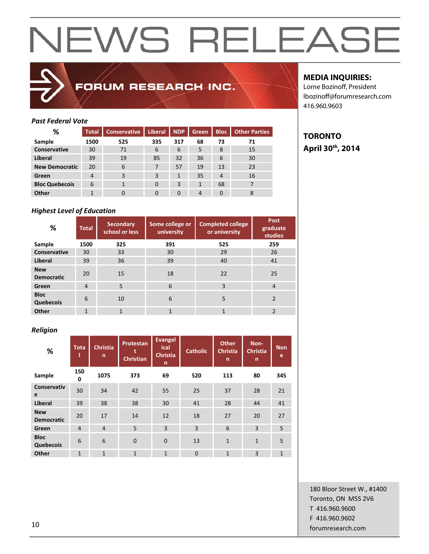## FORUM RESEARCH INC.

## *Past Federal Vote*

| ℅                     | <b>Total</b> | <b>Conservative</b> | <b>Liberal</b> | <b>NDP</b> | Green          | <b>Bloc</b>    | <b>Other Parties</b> |
|-----------------------|--------------|---------------------|----------------|------------|----------------|----------------|----------------------|
| Sample                | 1500         | 525                 | 335            | 317        | 68             | 73             | 71                   |
| <b>Conservative</b>   | 30           | 71                  | 6              | 6          | 5              | 8              | 15                   |
| Liberal               | 39           | 19                  | 85             | 32         | 36             | 6              | 30                   |
| <b>New Democratic</b> | 20           | 6                   | 7              | 57         | 19             | 13             | 23                   |
| Green                 | 4            | 3                   | 3              | 1          | 35             | $\overline{4}$ | 16                   |
| <b>Bloc Quebecois</b> | 6            |                     | $\Omega$       | 3          | 1              | 68             | 7                    |
| <b>Other</b>          | ◀            | 0                   | 0              | $\Omega$   | $\overline{4}$ | $\Omega$       | 8                    |

## *Highest Level of Education*

| %                               | <b>Total</b>   | <b>Secondary</b><br>school or less | Some college or<br>university | <b>Completed college</b><br>or university | <b>Post</b><br>graduate<br>studies |
|---------------------------------|----------------|------------------------------------|-------------------------------|-------------------------------------------|------------------------------------|
| Sample                          | 1500           | 325                                | 391                           | 525                                       | 259                                |
| Conservative                    | 30             | 33                                 | 30                            | 29                                        | 26                                 |
| Liberal                         | 39             | 36                                 | 39                            | 40                                        | 41                                 |
| <b>New</b><br><b>Democratic</b> | 20             | 15                                 | 18                            | 22                                        | 25                                 |
| Green                           | $\overline{4}$ | 5                                  | 6                             | 3                                         | $\overline{4}$                     |
| <b>Bloc</b><br>Quebecois        | 6              | 10                                 | 6                             | 5                                         | $\overline{2}$                     |
| <b>Other</b>                    | $\mathbf{1}$   | 1                                  | $\mathbf{1}$                  | $\mathbf{1}$                              | 2                                  |

## *Religion*

| %                               | <b>Tota</b>    | <b>Christia</b><br>n | Protestan<br><b>Christian</b> | <b>Evangel</b><br>ical<br><b>Christia</b><br>n | <b>Catholic</b> | <b>Other</b><br><b>Christia</b><br>n | Non-<br><b>Christia</b><br>n | <b>Non</b><br>e |
|---------------------------------|----------------|----------------------|-------------------------------|------------------------------------------------|-----------------|--------------------------------------|------------------------------|-----------------|
| Sample                          | 150<br>0       | 1075                 | 373                           | 69                                             | 520             | 113                                  | 80                           | 345             |
| <b>Conservativ</b><br>e         | 30             | 34                   | 42                            | 55                                             | 25              | 37                                   | 28                           | 21              |
| <b>Liberal</b>                  | 39             | 38                   | 38                            | 30                                             | 41              | 28                                   | 44                           | 41              |
| <b>New</b><br><b>Democratic</b> | 20             | 17                   | 14                            | 12                                             | 18              | 27                                   | 20                           | 27              |
| Green                           | $\overline{4}$ | $\overline{4}$       | 5                             | 3                                              | $\overline{3}$  | 6                                    | 3                            | 5               |
| <b>Bloc</b><br>Quebecois        | 6              | 6                    | $\overline{0}$                | $\mathbf{0}$                                   | 13              | $\mathbf{1}$                         | $\mathbf{1}$                 | 5               |
| Other                           | $\mathbf{1}$   | $\mathbf{1}$         | $\mathbf{1}$                  | $\mathbf{1}$                                   | $\Omega$        | $\mathbf{1}$                         | 3                            | $\mathbf{1}$    |

## **MEDIA INQUIRIES:**

Lorne Bozinoff, President lbozinoff@forumresearch.com 416.960.9603

## **TORONTO April 30th, 2014**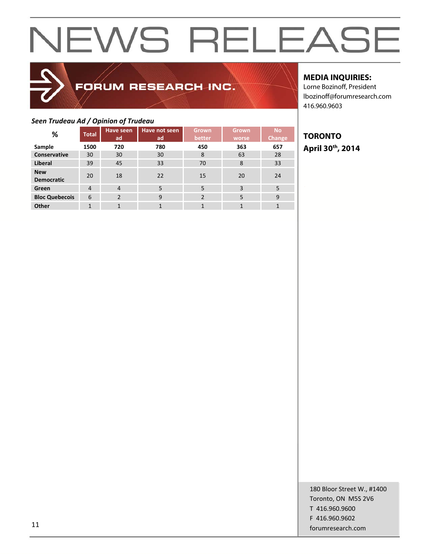## FORUM RESEARCH INC.

## *Seen Trudeau Ad / Opinion of Trudeau*

|                                 | --- <i>r</i>   | <br>Have seen  | Have not seen | <b>Grown</b>   | <b>Grown</b> | <b>No</b> |
|---------------------------------|----------------|----------------|---------------|----------------|--------------|-----------|
| %                               | <b>Total</b>   | ad             | ad            | better         | worse        | Change    |
| Sample                          | 1500           | 720            | 780           | 450            | 363          | 657       |
| Conservative                    | 30             | 30             | 30            | 8              | 63           | 28        |
| <b>Liberal</b>                  | 39             | 45             | 33            | 70             | 8            | 33        |
| <b>New</b><br><b>Democratic</b> | 20             | 18             | 22            | 15             | 20           | 24        |
| Green                           | $\overline{4}$ | 4              | 5             | 5              | 3            | 5         |
| <b>Bloc Quebecois</b>           | 6              | $\overline{2}$ | 9             | $\overline{2}$ | 5            | 9         |
| Other                           | $\mathbf{1}$   | $\mathbf{1}$   | 1             | 1              |              | 1         |

## **MEDIA INQUIRIES:**

Lorne Bozinoff, President lbozinoff@forumresearch.com 416.960.9603

## **TORONTO April 30th, 2014**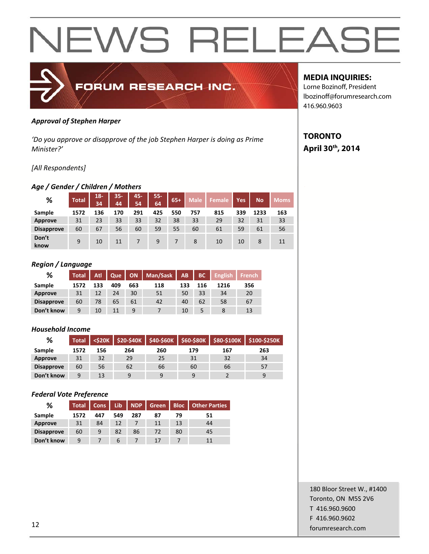

### *Approval of Stephen Harper*

*'Do you approve or disapprove of the job Stephen Harper is doing as Prime Minister?'*

## *[All Respondents]*

### *Age / Gender / Children / Mothers*

| %                 | <b>Total</b> | $18-$<br>34 | $35 -$<br>44 | 45-<br>54 | $55 -$<br>64 | $65+$ | <b>Male</b> | <b>Female</b> | Yes | <b>No</b> | <b>Moms</b> |
|-------------------|--------------|-------------|--------------|-----------|--------------|-------|-------------|---------------|-----|-----------|-------------|
| Sample            | 1572         | 136         | 170          | 291       | 425          | 550   | 757         | 815           | 339 | 1233      | 163         |
| Approve           | 31           | 23          | 33           | 33        | 32           | 38    | 33          | 29            | 32  | 31        | 33          |
| <b>Disapprove</b> | 60           | 67          | 56           | 60        | 59           | 55    | 60          | 61            | 59  | 61        | 56          |
| Don't<br>know     | 9            | 10          | 11           |           | 9            |       | 8           | 10            | 10  | 8         | 11          |

### *Region / Language*

| %                 | <b>Total</b> | Atl | <b>Que</b> |     | ON   Man/Sask | AB  | BC  | English | French |
|-------------------|--------------|-----|------------|-----|---------------|-----|-----|---------|--------|
| Sample            | 1572         | 133 | 409        | 663 | 118           | 133 | 116 | 1216    | 356    |
| Approve           | 31           | 12  | 24         | 30  | 51            | 50  | 33  | 34      | 20     |
| <b>Disapprove</b> | 60           | 78  | 65         | 61  | 42            | 40  | 62  | 58      | 67     |
| Don't know        | 9            | 10  | 11         | 9   |               | 10  |     |         | 13     |

### *Household Income*

| %                 | <b>Total</b> | <b><s20k< b=""></s20k<></b> | $$20-$40K$ | \$40-\$60K | \$60-\$80K | \$80-\$100K | \$100-\$250K |
|-------------------|--------------|-----------------------------|------------|------------|------------|-------------|--------------|
| Sample            | 1572         | 156                         | 264        | 260        | 179        | 167         | 263          |
| Approve           | 31           | 32                          | 29         | 25         | 31         | 32          | 34           |
| <b>Disapprove</b> | 60           | 56                          | 62         | 66         | 60         | 66          | 57           |
| Don't know        | 9            | 13                          | q          | 9          | 9          |             | a            |

### *Federal Vote Preference*

| %                 | <b>Total</b> | Cons | Lib | <b>NDP</b> | Green   Bloc |    | <b>Other Parties</b> |
|-------------------|--------------|------|-----|------------|--------------|----|----------------------|
| Sample            | 1572         | 447  | 549 | 287        | 87           | 79 | 51                   |
| Approve           | 31           | 84   | 12  |            | 11           | 13 | 44                   |
| <b>Disapprove</b> | 60           | 9    | 82  | 86         | 72           | 80 | 45                   |
| Don't know        | 9            |      | b   |            |              |    | 11                   |

## **MEDIA INQUIRIES:**

Lorne Bozinoff, President lbozinoff@forumresearch.com 416.960.9603

## **TORONTO April 30th, 2014**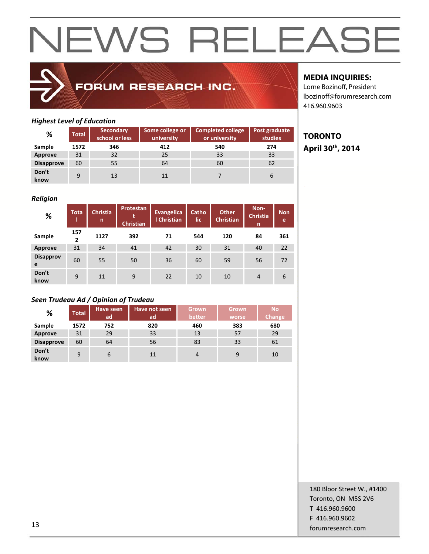## FORUM RESEARCH INC.

## **MEDIA INQUIRIES:**

**TORONTO** 

**April 30th, 2014** 

Lorne Bozinoff, President lbozinoff@forumresearch.com 416.960.9603

## *Highest Level of Education*

| %                 | <b>Total</b> | <b>Secondary</b><br>school or less | Some college or<br>university | <b>Completed college</b><br>or university | Post graduate<br>studies |
|-------------------|--------------|------------------------------------|-------------------------------|-------------------------------------------|--------------------------|
| Sample            | 1572         | 346                                | 412                           | 540                                       | 274                      |
| Approve           | 31           | 32                                 | 25                            | 33                                        | 33                       |
| <b>Disapprove</b> | 60           | 55                                 | 64                            | 60                                        | 62                       |
| Don't<br>know     | 9            | 13                                 | 11                            |                                           | 6                        |

### *Religion*

| %                     | <b>Tota</b>         | <b>Christia</b><br>n | Protestan<br><b>Christian</b> | Evangelica<br>I Christian | Catho<br>lic | <b>Other</b><br><b>Christian</b> | Non-<br><b>Christia</b><br>n | <b>Non</b><br>e |
|-----------------------|---------------------|----------------------|-------------------------------|---------------------------|--------------|----------------------------------|------------------------------|-----------------|
| Sample                | 157<br>$\mathbf{2}$ | 1127                 | 392                           | 71                        | 544          | 120                              | 84                           | 361             |
| <b>Approve</b>        | 31                  | 34                   | 41                            | 42                        | 30           | 31                               | 40                           | 22              |
| <b>Disapprov</b><br>e | 60                  | 55                   | 50                            | 36                        | 60           | 59                               | 56                           | 72              |
| Don't<br>know         | 9                   | 11                   | 9                             | 22                        | 10           | 10                               | $\overline{4}$               | 6               |

## *Seen Trudeau Ad / Opinion of Trudeau*

| %                 | <b>Total</b> | Have seen<br>ad | Have not seen<br>ad, | <b>Grown</b><br>better | <b>Grown</b><br>worse | <b>No</b><br>Change |
|-------------------|--------------|-----------------|----------------------|------------------------|-----------------------|---------------------|
| Sample            | 1572         | 752             | 820                  | 460                    | 383                   | 680                 |
| Approve           | 31           | 29              | 33                   | 13                     | 57                    | 29                  |
| <b>Disapprove</b> | 60           | 64              | 56                   | 83                     | 33                    | 61                  |
| Don't<br>know     | 9            | 6               | 11                   | 4                      | 9                     | 10                  |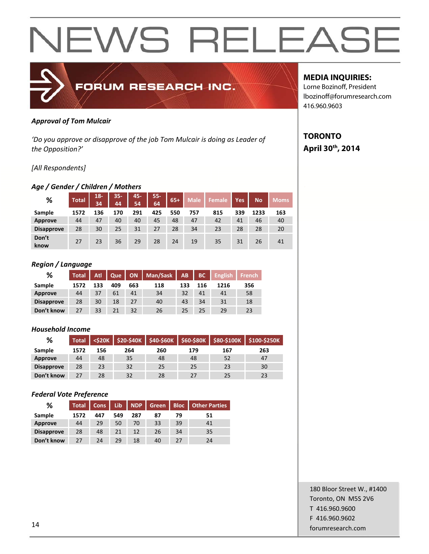

### *Approval of Tom Mulcair*

*'Do you approve or disapprove of the job Tom Mulcair is doing as Leader of the Opposition?'*

## *[All Respondents]*

## *Age / Gender / Children / Mothers*

| %                 | <b>Total</b> | $18 -$<br>34 | $35 -$<br>44 | 45-<br>54 | $55 -$<br>64 | $65+$ | <b>Male</b> | Female | Yes | <b>No</b> | <b>Moms</b> |
|-------------------|--------------|--------------|--------------|-----------|--------------|-------|-------------|--------|-----|-----------|-------------|
| Sample            | 1572         | 136          | 170          | 291       | 425          | 550   | 757         | 815    | 339 | 1233      | 163         |
| <b>Approve</b>    | 44           | 47           | 40           | 40        | 45           | 48    | 47          | 42     | 41  | 46        | 40          |
| <b>Disapprove</b> | 28           | 30           | 25           | 31        | 27           | 28    | 34          | 23     | 28  | 28        | 20          |
| Don't<br>know     | 27           | 23           | 36           | 29        | 28           | 24    | 19          | 35     | 31  | 26        | 41          |

### *Region / Language*

| %                 | <b>Total</b> | <b>Atl</b> | Que |     | ON   Man/Sask | AB  |     | <b>BC</b> English French |     |
|-------------------|--------------|------------|-----|-----|---------------|-----|-----|--------------------------|-----|
| Sample            | 1572         | 133        | 409 | 663 | 118           | 133 | 116 | 1216                     | 356 |
| Approve           | 44           | 37         | 61  | 41  | 34            | 32  | 41  | 41                       | 58  |
| <b>Disapprove</b> | 28           | 30         | 18  | 27  | 40            | 43  | 34  | 31                       | 18  |
| Don't know        | 27           | 33         | 21  | 32  | 26            | 25  | 25  | 29                       | 23  |

### *Household Income*

| %                 | <b>Total</b> | <b><s20k< b=""></s20k<></b> |     |     |     |     | \$20-\$40K \$40-\$60K \$60-\$80K \$80-\$100K \$100-\$250K |
|-------------------|--------------|-----------------------------|-----|-----|-----|-----|-----------------------------------------------------------|
| Sample            | 1572         | 156                         | 264 | 260 | 179 | 167 | 263                                                       |
| Approve           | 44           | 48                          | 35  | 48  | 48  | 52  | 47                                                        |
| <b>Disapprove</b> | 28           | 23                          | 32  | 25  | 25  | 23  | 30                                                        |
| Don't know        | 27           | 28                          | 32  | 28  | 27  | 25  | 23                                                        |

### *Federal Vote Preference*

| %                 | <b>Total</b> | Cons | <b>Lib</b> | NDP | Green | <b>Bloc</b> | <b>Other Parties</b> |
|-------------------|--------------|------|------------|-----|-------|-------------|----------------------|
| Sample            | 1572         | 447  | 549        | 287 | 87    | 79          | 51                   |
| Approve           | 44           | 29   | 50         | 70  | 33    | 39          | 41                   |
| <b>Disapprove</b> | 28           | 48   | 21         | 12  | 26    | 34          | 35                   |
| Don't know        | 27           | 24   | 29         | 18  | 40    | 27          | 24                   |

## **MEDIA INQUIRIES:**

Lorne Bozinoff, President lbozinoff@forumresearch.com 416.960.9603

## **TORONTO April 30th, 2014**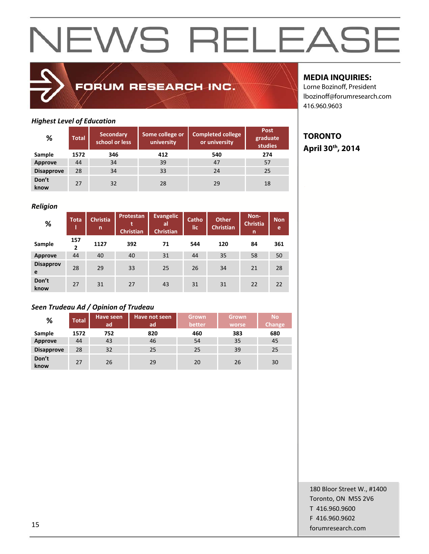## FORUM RESEARCH INC.

## *Highest Level of Education*

| %                 | <b>Total</b> | <b>Secondary</b><br>school or less | Some college or<br>university | <b>Completed college</b><br>or university | Post<br>graduate<br>studies |
|-------------------|--------------|------------------------------------|-------------------------------|-------------------------------------------|-----------------------------|
| Sample            | 1572         | 346                                | 412                           | 540                                       | 274                         |
| Approve           | 44           | 34                                 | 39                            | 47                                        | 57                          |
| <b>Disapprove</b> | 28           | 34                                 | 33                            | 24                                        | 25                          |
| Don't<br>know     | 27           | 32                                 | 28                            | 29                                        | 18                          |

## *Religion*

| %                     | <b>Tota</b> | <b>Christia</b><br>n | Protestan<br>٠<br><b>Christian</b> | <b>Evangelic</b><br>al<br><b>Christian</b> | Catho<br>lic | <b>Other</b><br><b>Christian</b> | Non-<br><b>Christia</b><br>n | <b>Non</b><br>e |
|-----------------------|-------------|----------------------|------------------------------------|--------------------------------------------|--------------|----------------------------------|------------------------------|-----------------|
| Sample                | 157<br>2    | 1127                 | 392                                | 71                                         | 544          | 120                              | 84                           | 361             |
| <b>Approve</b>        | 44          | 40                   | 40                                 | 31                                         | 44           | 35                               | 58                           | 50              |
| <b>Disapprov</b><br>e | 28          | 29                   | 33                                 | 25                                         | 26           | 34                               | 21                           | 28              |
| Don't<br>know         | 27          | 31                   | 27                                 | 43                                         | 31           | 31                               | 22                           | 22              |

## *Seen Trudeau Ad / Opinion of Trudeau*

| %                 | <b>Total</b> | Have seen<br>ad | Have not seen<br>ad | <b>Grown</b><br>better | <b>Grown</b><br>worse | <b>No</b><br><b>Change</b> |
|-------------------|--------------|-----------------|---------------------|------------------------|-----------------------|----------------------------|
| Sample            | 1572         | 752             | 820                 | 460                    | 383                   | 680                        |
| <b>Approve</b>    | 44           | 43              | 46                  | 54                     | 35                    | 45                         |
| <b>Disapprove</b> | 28           | 32              | 25                  | 25                     | 39                    | 25                         |
| Don't<br>know     | 27           | 26              | 29                  | 20                     | 26                    | 30                         |

## **MEDIA INQUIRIES:**

Lorne Bozinoff, President lbozinoff@forumresearch.com 416.960.9603

## **TORONTO April 30th, 2014**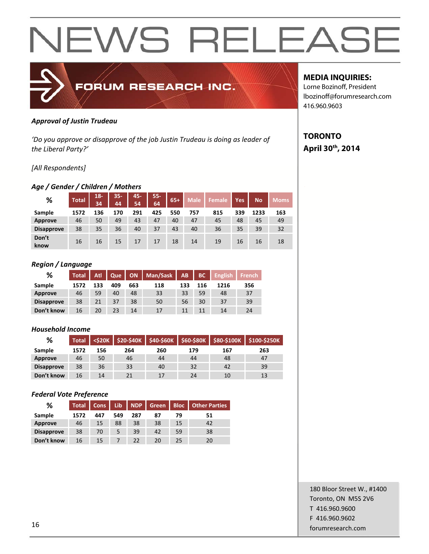

### *Approval of Justin Trudeau*

*'Do you approve or disapprove of the job Justin Trudeau is doing as leader of the Liberal Party?'*

## *[All Respondents]*

## *Age / Gender / Children / Mothers*

| %                 | <b>Total</b> | $18 -$<br>34 | $35 -$<br>44 | 45-<br>54 | $55 -$<br>64 | $65+$ | <b>Male</b> | Female | Yes | <b>No</b> | <b>Moms</b> |
|-------------------|--------------|--------------|--------------|-----------|--------------|-------|-------------|--------|-----|-----------|-------------|
| Sample            | 1572         | 136          | 170          | 291       | 425          | 550   | 757         | 815    | 339 | 1233      | 163         |
| <b>Approve</b>    | 46           | 50           | 49           | 43        | 47           | 40    | 47          | 45     | 48  | 45        | 49          |
| <b>Disapprove</b> | 38           | 35           | 36           | 40        | 37           | 43    | 40          | 36     | 35  | 39        | 32          |
| Don't<br>know     | 16           | 16           | 15           | 17        | 17           | 18    | 14          | 19     | 16  | 16        | 18          |

### *Region / Language*

| %                 | <b>Total</b> | Atl | <b>Que</b> |     | ON   Man/Sask | AB  | BC  | <b>English</b> | French |
|-------------------|--------------|-----|------------|-----|---------------|-----|-----|----------------|--------|
| Sample            | 1572         | 133 | 409        | 663 | 118           | 133 | 116 | 1216           | 356    |
| Approve           | 46           | 59  | 40         | 48  | 33            | 33  | 59  | 48             | 37     |
| <b>Disapprove</b> | 38           | 21  | 37         | 38  | 50            | 56  | 30  | 37             | 39     |
| Don't know        | 16           | 20  | 23         | 14  | 17            | 11  | 11  | 14             | 24     |

### *Household Income*

| %                 | <b>Total</b> | <b><s20k< b=""></s20k<></b> | $$20-$40K$ |     | $$40-$60K$ $$60-$80K$ |     | $$80-$100K$ $$100-$250K$ |
|-------------------|--------------|-----------------------------|------------|-----|-----------------------|-----|--------------------------|
| Sample            | 1572         | 156                         | 264        | 260 | 179                   | 167 | 263                      |
| Approve           | 46           | 50                          | 46         | 44  | 44                    | 48  | 47                       |
| <b>Disapprove</b> | 38           | 36                          | 33         | 40  | 32                    | 42  | 39                       |
| Don't know        | 16           | 14                          | 21         | 17  | 24                    | 10  | 13                       |

### *Federal Vote Preference*

| %                 | <b>Total</b> | Cons | <b>Lib</b> | NDP | Green | <b>Bloc</b> | <b>Other Parties</b> |
|-------------------|--------------|------|------------|-----|-------|-------------|----------------------|
| Sample            | 1572         | 447  | 549        | 287 | 87    | 79          | 51                   |
| Approve           | 46           | 15   | 88         | 38  | 38    | 15          | 42                   |
| <b>Disapprove</b> | 38           | 70   |            | 39  | 42    | 59          | 38                   |
| Don't know        | 16           | 15   |            | つつ  | 20    | 25          | 20                   |

## **MEDIA INQUIRIES:**

Lorne Bozinoff, President lbozinoff@forumresearch.com 416.960.9603

## **TORONTO April 30th, 2014**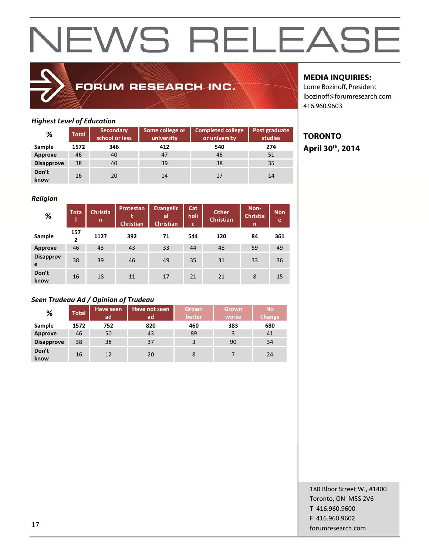## FORUM RESEARCH INC.

## **MEDIA INQUIRIES:**

Lorne Bozinoff, President lbozinoff@forumresearch.com 416.960.9603

## *Highest Level of Education*

| %                 | <b>Total</b> | <b>Secondary</b><br>school or less | Some college or<br>university | <b>Completed college</b><br>or university | Post graduate<br>studies |
|-------------------|--------------|------------------------------------|-------------------------------|-------------------------------------------|--------------------------|
| Sample            | 1572         | 346                                | 412                           | 540                                       | 274                      |
| Approve           | 46           | 40                                 | 47                            | 46                                        | 51                       |
| <b>Disapprove</b> | 38           | 40                                 | 39                            | 38                                        | 35                       |
| Don't<br>know     | 16           | 20                                 | 14                            | 17                                        | 14                       |

### *Religion*

| %                     | <b>Tota</b> | <b>Christia</b><br>n | Protestan<br><b>Christian</b> | <b>Evangelic</b><br>al<br><b>Christian</b> | Cat<br>holi<br>c | <b>Other</b><br><b>Christian</b> | Non-<br><b>Christia</b><br>n | <b>Non</b><br>e |
|-----------------------|-------------|----------------------|-------------------------------|--------------------------------------------|------------------|----------------------------------|------------------------------|-----------------|
| Sample                | 157<br>2    | 1127                 | 392                           | 71                                         | 544              | 120                              | 84                           | 361             |
| <b>Approve</b>        | 46          | 43                   | 43                            | 33                                         | 44               | 48                               | 59                           | 49              |
| <b>Disapprov</b><br>e | 38          | 39                   | 46                            | 49                                         | 35               | 31                               | 33                           | 36              |
| Don't<br>know         | 16          | 18                   | 11                            | 17                                         | 21               | 21                               | 8                            | 15              |

## *Seen Trudeau Ad / Opinion of Trudeau*

| %                 | <b>Total</b> | Have seen<br>ad | Have not seen<br>ad | <b>Grown</b><br>better | Grown<br>worse | <b>No</b><br>Change |
|-------------------|--------------|-----------------|---------------------|------------------------|----------------|---------------------|
| Sample            | 1572         | 752             | 820                 | 460                    | 383            | 680                 |
| Approve           | 46           | 50              | 43                  | 89                     | 3              | 41                  |
| <b>Disapprove</b> | 38           | 38              | 37                  | 3                      | 90             | 34                  |
| Don't<br>know     | 16           | 12              | 20                  | 8                      |                | 24                  |

## **TORONTO April 30th, 2014**

180 Bloor Street W., #1400 Toronto, ON M5S 2V6 T 416.960.9600 F 416.960.9602 forumresearch.com and the set of the set of the set of the set of the set of the set of the set of the set of the set of the set of the set of the set of the set of the set of the set of the set of the set of the set of th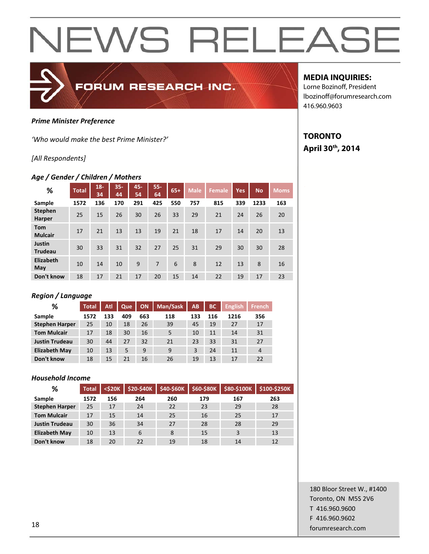

#### *Prime Minister Preference*

*'Who would make the best Prime Minister?'*

### *[All Respondents]*

### *Age / Gender / Children / Mothers*

| ℅                               | <b>Total</b> | $18 -$<br>34 | $35 -$<br>44 | 45-<br>54 | $55 -$<br>64 | $65+$ | <b>Male</b> | <b>Female</b> | <b>Yes</b> | <b>No</b> | <b>Moms</b> |
|---------------------------------|--------------|--------------|--------------|-----------|--------------|-------|-------------|---------------|------------|-----------|-------------|
| Sample                          | 1572         | 136          | 170          | 291       | 425          | 550   | 757         | 815           | 339        | 1233      | 163         |
| <b>Stephen</b><br><b>Harper</b> | 25           | 15           | 26           | 30        | 26           | 33    | 29          | 21            | 24         | 26        | 20          |
| <b>Tom</b><br><b>Mulcair</b>    | 17           | 21           | 13           | 13        | 19           | 21    | 18          | 17            | 14         | 20        | 13          |
| Justin<br><b>Trudeau</b>        | 30           | 33           | 31           | 32        | 27           | 25    | 31          | 29            | 30         | 30        | 28          |
| Elizabeth<br>May                | 10           | 14           | 10           | 9         | 7            | 6     | 8           | 12            | 13         | 8         | 16          |
| Don't know                      | 18           | 17           | 21           | 17        | 20           | 15    | 14          | 22            | 19         | 17        | 23          |

## *Region / Language*

| ℅                     | <b>Total</b> | Atl | Que | <b>ON</b> | Man/Sask | AB  | <b>BC</b> | <b>English</b> | French         |
|-----------------------|--------------|-----|-----|-----------|----------|-----|-----------|----------------|----------------|
| Sample                | 1572         | 133 | 409 | 663       | 118      | 133 | 116       | 1216           | 356            |
| <b>Stephen Harper</b> | 25           | 10  | 18  | 26        | 39       | 45  | 19        | 27             | 17             |
| <b>Tom Mulcair</b>    | 17           | 18  | 30  | 16        | 5        | 10  | 11        | 14             | 31             |
| <b>Justin Trudeau</b> | 30           | 44  | 27  | 32        | 21       | 23  | 33        | 31             | 27             |
| <b>Elizabeth May</b>  | 10           | 13  | 5   | 9         | 9        | 3   | 24        | 11             | $\overline{4}$ |
| Don't know            | 18           | 15  | 21  | 16        | 26       | 19  | 13        | 17             | 22             |

#### *Household Income*

| %                     | <b>Total</b> | $<$ \$20 $K$ | \$20-\$40K | \$40-\$60K | $$60-$80K$ | \$80-\$100K | \$100-\$250K |
|-----------------------|--------------|--------------|------------|------------|------------|-------------|--------------|
| Sample                | 1572         | 156          | 264        | 260        | 179        | 167         | 263          |
| <b>Stephen Harper</b> | 25           | 17           | 24         | 22         | 23         | 29          | 28           |
| <b>Tom Mulcair</b>    | 17           | 15           | 14         | 25         | 16         | 25          | 17           |
| <b>Justin Trudeau</b> | 30           | 36           | 34         | 27         | 28         | 28          | 29           |
| <b>Elizabeth May</b>  | 10           | 13           | 6          | 8          | 15         | 3           | 13           |
| Don't know            | 18           | 20           | 22         | 19         | 18         | 14          | 12           |

## **MEDIA INQUIRIES:**

Lorne Bozinoff, President lbozinoff@forumresearch.com 416.960.9603

## **TORONTO April 30th, 2014**

180 Bloor Street W., #1400 Toronto, ON M5S 2V6 T 416.960.9600 F 416.960.9602 **forumresearch.com** and the set of the set of the set of the set of the set of the set of the set of the set of the set of the set of the set of the set of the set of the set of the set of the set of the set of the set of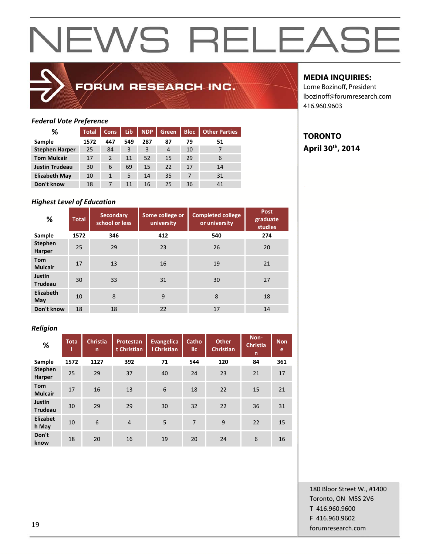## FORUM RESEARCH INC.

## **MEDIA INQUIRIES:**

**TORONTO** 

**April 30th, 2014** 

Lorne Bozinoff, President lbozinoff@forumresearch.com 416.960.9603

## *Federal Vote Preference*

| %                     | <b>Total</b> | <b>Cons</b> | Lib | <b>NDP</b> | Green | <b>Bloc</b> | <b>Other Parties</b> |
|-----------------------|--------------|-------------|-----|------------|-------|-------------|----------------------|
| Sample                | 1572         | 447         | 549 | 287        | 87    | 79          | 51                   |
| <b>Stephen Harper</b> | 25           | 84          | 3   | 3          | 4     | 10          |                      |
| <b>Tom Mulcair</b>    | 17           | 2           | 11  | 52         | 15    | 29          | 6                    |
| <b>Justin Trudeau</b> | 30           | 6           | 69  | 15         | 22    | 17          | 14                   |
| <b>Elizabeth May</b>  | 10           |             | 5   | 14         | 35    | 7           | 31                   |
| Don't know            | 18           |             | 11  | 16         | 25    | 36          | 41                   |

## *Highest Level of Education*

| %                               | <b>Total</b> | <b>Secondary</b><br>school or less | Some college or<br>university | <b>Completed college</b><br>or university | Post<br>graduate<br>studies |
|---------------------------------|--------------|------------------------------------|-------------------------------|-------------------------------------------|-----------------------------|
| Sample                          | 1572         | 346                                | 412                           | 540                                       | 274                         |
| <b>Stephen</b><br>Harper        | 25           | 29                                 | 23                            | 26                                        | 20                          |
| <b>Tom</b><br><b>Mulcair</b>    | 17           | 13                                 | 16                            | 19                                        | 21                          |
| <b>Justin</b><br><b>Trudeau</b> | 30           | 33                                 | 31                            | 30                                        | 27                          |
| Elizabeth<br>May                | 10           | 8                                  | 9                             | 8                                         | 18                          |
| Don't know                      | 18           | 18                                 | 22                            | 17                                        | 14                          |

## *Religion*

| %                            | <b>Tota</b> | <b>Christia</b><br>n | <b>Protestan</b><br>t Christian | <b>Evangelica</b><br>I Christian | Catho<br>lic | <b>Other</b><br><b>Christian</b> | Non-<br><b>Christia</b><br>n | <b>Non</b><br>e |
|------------------------------|-------------|----------------------|---------------------------------|----------------------------------|--------------|----------------------------------|------------------------------|-----------------|
| Sample                       | 1572        | 1127                 | 392                             | 71                               | 544          | 120                              | 84                           | 361             |
| <b>Stephen</b><br>Harper     | 25          | 29                   | 37                              | 40                               | 24           | 23                               | 21                           | 17              |
| <b>Tom</b><br><b>Mulcair</b> | 17          | 16                   | 13                              | 6                                | 18           | 22                               | 15                           | 21              |
| Justin<br><b>Trudeau</b>     | 30          | 29                   | 29                              | 30                               | 32           | 22                               | 36                           | 31              |
| <b>Elizabet</b><br>h May     | 10          | 6                    | $\overline{4}$                  | 5                                | 7            | 9                                | 22                           | 15              |
| Don't<br>know                | 18          | 20                   | 16                              | 19                               | 20           | 24                               | 6                            | 16              |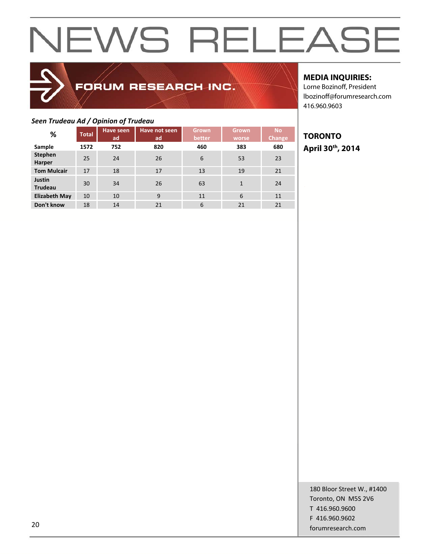## FORUM RESEARCH INC.

## *Seen Trudeau Ad / Opinion of Trudeau*

| %                               | <b>Total</b> | Have seen | Have not seen | <b>Grown</b> | <b>Grown</b> | <b>No</b>     |  |  |  |  |  |  |
|---------------------------------|--------------|-----------|---------------|--------------|--------------|---------------|--|--|--|--|--|--|
|                                 |              | ad        | ad            | better       | worse        | <b>Change</b> |  |  |  |  |  |  |
| Sample                          | 1572         | 752       | 820           | 460          | 383          | 680           |  |  |  |  |  |  |
| <b>Stephen</b><br>Harper        | 25           | 24        | 26            | 6            | 53           | 23            |  |  |  |  |  |  |
| <b>Tom Mulcair</b>              | 17           | 18        | 17            | 13           | 19           | 21            |  |  |  |  |  |  |
| <b>Justin</b><br><b>Trudeau</b> | 30           | 34        | 26            | 63           | 1            | 24            |  |  |  |  |  |  |
| <b>Elizabeth May</b>            | 10           | 10        | 9             | 11           | 6            | 11            |  |  |  |  |  |  |
| Don't know                      | 18           | 14        | 21            | 6            | 21           | 21            |  |  |  |  |  |  |

## **MEDIA INQUIRIES:**

Lorne Bozinoff, President lbozinoff@forumresearch.com 416.960.9603

## **TORONTO April 30th, 2014**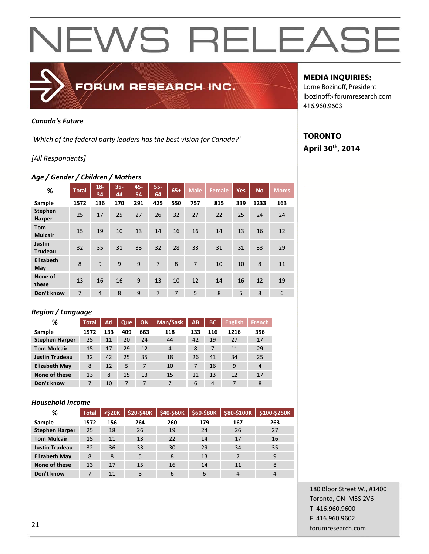

### *Canada's Future*

*'Which of the federal party leaders has the best vision for Canada?'*

## *[All Respondents]*

### *Age / Gender / Children / Mothers*

| %                               | <b>Total</b> | $18 -$<br>34   | $35 -$<br>44 | 45-<br>54    | $55 -$<br>64 | $65+$ | <b>Male</b> | <b>Female</b> | <b>Yes</b> | <b>No</b> | <b>Moms</b> |
|---------------------------------|--------------|----------------|--------------|--------------|--------------|-------|-------------|---------------|------------|-----------|-------------|
| Sample                          | 1572         | 136            | 170          | 291          | 425          | 550   | 757         | 815           | 339        | 1233      | 163         |
| <b>Stephen</b><br>Harper        | 25           | 17             | 25           | 27           | 26           | 32    | 27          | 22            | 25         | 24        | 24          |
| <b>Tom</b><br><b>Mulcair</b>    | 15           | 19             | 10           | 13           | 14           | 16    | 16          | 14            | 13         | 16        | 12          |
| <b>Justin</b><br><b>Trudeau</b> | 32           | 35             | 31           | 33           | 32           | 28    | 33          | 31            | 31         | 33        | 29          |
| Elizabeth<br>May                | 8            | $\mathbf{q}$   | 9            | $\mathsf{q}$ | 7            | 8     | 7           | 10            | 10         | 8         | 11          |
| None of<br>these                | 13           | 16             | 16           | 9            | 13           | 10    | 12          | 14            | 16         | 12        | 19          |
| Don't know                      | 7            | $\overline{4}$ | 8            | 9            | 7            | 7     | 5           | 8             | 5          | 8         | 6           |

### *Region / Language*

| %                     | <b>Total</b> | Atl | Que | <b>ON</b> | Man/Sask       | AB  | <b>BC</b> | <b>English</b> | <b>French</b> |
|-----------------------|--------------|-----|-----|-----------|----------------|-----|-----------|----------------|---------------|
| Sample                | 1572         | 133 | 409 | 663       | 118            | 133 | 116       | 1216           | 356           |
| <b>Stephen Harper</b> | 25           | 11  | 20  | 24        | 44             | 42  | 19        | 27             | 17            |
| <b>Tom Mulcair</b>    | 15           | 17  | 29  | 12        | $\overline{4}$ | 8   | 7         | 11             | 29            |
| <b>Justin Trudeau</b> | 32           | 42  | 25  | 35        | 18             | 26  | 41        | 34             | 25            |
| <b>Elizabeth May</b>  | 8            | 12  | 5   | 7         | 10             | 7   | 16        | 9              | 4             |
| None of these         | 13           | 8   | 15  | 13        | 15             | 11  | 13        | 12             | 17            |
| Don't know            |              | 10  | 7   | 7         | 7              | 6   | 4         | 7              | 8             |

### *Household Income*

| %                     | <b>Total</b> | $<$ \$20 $K$ | \$20-\$40K | \$40-\$60K | \$60-\$80K | \$80-\$100K | \$100-\$250K |
|-----------------------|--------------|--------------|------------|------------|------------|-------------|--------------|
| Sample                | 1572         | 156          | 264        | 260        | 179        | 167         | 263          |
| <b>Stephen Harper</b> | 25           | 18           | 26         | 19         | 24         | 26          | 27           |
| <b>Tom Mulcair</b>    | 15           | 11           | 13         | 22         | 14         | 17          | 16           |
| <b>Justin Trudeau</b> | 32           | 36           | 33         | 30         | 29         | 34          | 35           |
| <b>Elizabeth May</b>  | 8            | 8            | 5          | 8          | 13         | 7           | 9            |
| None of these         | 13           | 17           | 15         | 16         | 14         | 11          | 8            |
| Don't know            |              | 11           | 8          | 6          | 6          | 4           |              |

## **MEDIA INQUIRIES:**

Lorne Bozinoff, President lbozinoff@forumresearch.com 416.960.9603

## **TORONTO April 30th, 2014**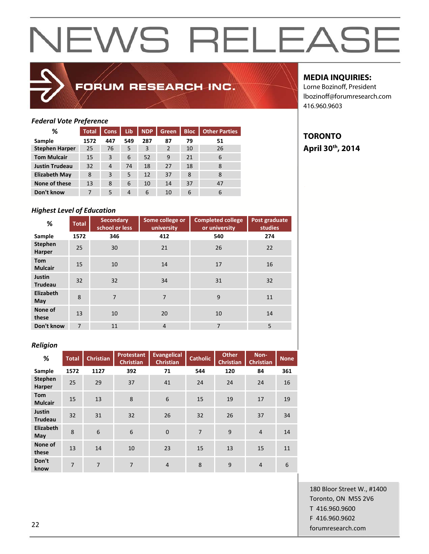

## FORUM RESEARCH INC.

## **MEDIA INQUIRIES:**

**TORONTO** 

**April 30th, 2014** 

Lorne Bozinoff, President lbozinoff@forumresearch.com 416.960.9603

## *Federal Vote Preference*

| %                     | <b>Total</b> | Cons.          | Lib | <b>NDP</b> | Green.         | <b>Bloc</b> | <b>Other Parties</b> |
|-----------------------|--------------|----------------|-----|------------|----------------|-------------|----------------------|
| Sample                | 1572         | 447            | 549 | 287        | 87             | 79          | 51                   |
| <b>Stephen Harper</b> | 25           | 76             | 5   | 3          | $\overline{2}$ | 10          | 26                   |
| <b>Tom Mulcair</b>    | 15           | 3              | 6   | 52         | 9              | 21          | 6                    |
| <b>Justin Trudeau</b> | 32           | $\overline{4}$ | 74  | 18         | 27             | 18          | 8                    |
| <b>Elizabeth May</b>  | 8            | 3              | 5   | 12         | 37             | 8           | 8                    |
| None of these         | 13           | 8              | 6   | 10         | 14             | 37          | 47                   |
| Don't know            | 7            | 5              | 4   | 6          | 10             | 6           | 6                    |

## *Highest Level of Education*

| %                               | <b>Total</b>   | <b>Secondary</b><br>school or less | Some college or<br>university | <b>Completed college</b><br>or university | Post graduate<br><b>studies</b> |
|---------------------------------|----------------|------------------------------------|-------------------------------|-------------------------------------------|---------------------------------|
| Sample                          | 1572           | 346                                | 412                           | 540                                       | 274                             |
| <b>Stephen</b><br>Harper        | 25             | 30                                 | 21                            | 26                                        | 22                              |
| Tom<br><b>Mulcair</b>           | 15             | 10                                 | 14                            | 17                                        | 16                              |
| <b>Justin</b><br><b>Trudeau</b> | 32             | 32                                 | 34                            | 31                                        | 32                              |
| Elizabeth<br>May                | 8              | 7                                  | $\overline{7}$                | 9                                         | 11                              |
| None of<br>these                | 13             | 10                                 | 20                            | 10                                        | 14                              |
| Don't know                      | $\overline{7}$ | 11                                 | $\overline{4}$                | $\overline{7}$                            | 5                               |

### *Religion*

| %                            | <b>Total</b>   | <b>Christian</b> | <b>Protestant</b> | <b>Evangelical</b> | <b>Catholic</b> | <b>Other</b>     | Non-             | <b>None</b> |
|------------------------------|----------------|------------------|-------------------|--------------------|-----------------|------------------|------------------|-------------|
|                              |                |                  | <b>Christian</b>  | <b>Christian</b>   |                 | <b>Christian</b> | <b>Christian</b> |             |
| Sample                       | 1572           | 1127             | 392               | 71                 | 544             | 120              | 84               | 361         |
| <b>Stephen</b><br>Harper     | 25             | 29               | 37                | 41                 | 24              | 24               | 24               | 16          |
| <b>Tom</b><br><b>Mulcair</b> | 15             | 13               | 8                 | 6                  | 15              | 19               | 17               | 19          |
| Justin<br><b>Trudeau</b>     | 32             | 31               | 32                | 26                 | 32              | 26               | 37               | 34          |
| Elizabeth<br>May             | 8              | 6                | 6                 | $\mathbf{0}$       | $\overline{7}$  | 9                | $\overline{4}$   | 14          |
| None of<br>these             | 13             | 14               | 10                | 23                 | 15              | 13               | 15               | 11          |
| Don't<br>know                | $\overline{7}$ | $\overline{7}$   | $\overline{7}$    | $\overline{4}$     | 8               | 9                | $\overline{4}$   | 6           |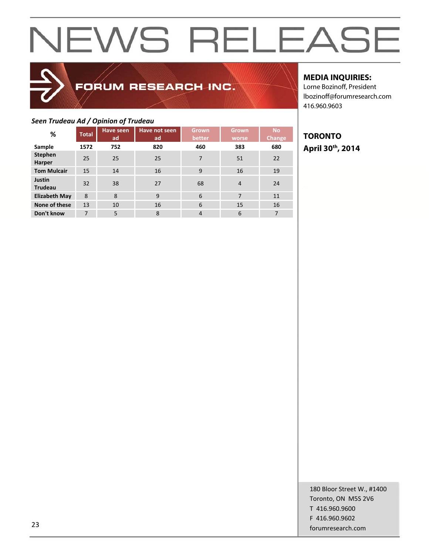## FORUM RESEARCH INC.

## *Seen Trudeau Ad / Opinion of Trudeau*

| . <b>.</b> <sub>/</sub>         |              | - <del>- - - - - - - - - - - - - -</del> |                     |                        |                       |                     |
|---------------------------------|--------------|------------------------------------------|---------------------|------------------------|-----------------------|---------------------|
| %                               | <b>Total</b> | <b>Have seen</b><br>ad                   | Have not seen<br>ad | <b>Grown</b><br>better | <b>Grown</b><br>worse | <b>No</b><br>Change |
| Sample                          | 1572         | 752                                      | 820                 | 460                    | 383                   | 680                 |
| <b>Stephen</b><br>Harper        | 25           | 25                                       | 25                  | 7                      | 51                    | 22                  |
| <b>Tom Mulcair</b>              | 15           | 14                                       | 16                  | 9                      | 16                    | 19                  |
| <b>Justin</b><br><b>Trudeau</b> | 32           | 38                                       | 27                  | 68                     | $\overline{4}$        | 24                  |
| <b>Elizabeth May</b>            | 8            | 8                                        | 9                   | 6                      | 7                     | 11                  |
| None of these                   | 13           | 10                                       | 16                  | 6                      | 15                    | 16                  |
| Don't know                      | 7            | 5                                        | 8                   | $\overline{4}$         | 6                     | 7                   |

## **MEDIA INQUIRIES:**

Lorne Bozinoff, President lbozinoff@forumresearch.com 416.960.9603

## **TORONTO April 30th, 2014**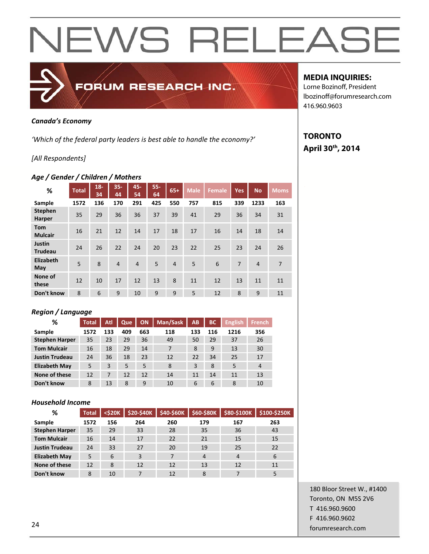

### *Canada's Economy*

*'Which of the federal party leaders is best able to handle the economy?'*

## *[All Respondents]*

## *Age / Gender / Children / Mothers*

| %                               | <b>Total</b> | $18 -$<br>34 | $35 -$<br>44   | 45-<br>54      | $55 -$<br>64 | $65+$          | <b>Male</b> | <b>Female</b> | <b>Yes</b> | <b>No</b> | <b>Moms</b>    |
|---------------------------------|--------------|--------------|----------------|----------------|--------------|----------------|-------------|---------------|------------|-----------|----------------|
| Sample                          | 1572         | 136          | 170            | 291            | 425          | 550            | 757         | 815           | 339        | 1233      | 163            |
| <b>Stephen</b><br><b>Harper</b> | 35           | 29           | 36             | 36             | 37           | 39             | 41          | 29            | 36         | 34        | 31             |
| <b>Tom</b><br><b>Mulcair</b>    | 16           | 21           | 12             | 14             | 17           | 18             | 17          | 16            | 14         | 18        | 14             |
| <b>Justin</b><br><b>Trudeau</b> | 24           | 26           | 22             | 24             | 20           | 23             | 22          | 25            | 23         | 24        | 26             |
| Elizabeth<br>May                | 5            | 8            | $\overline{4}$ | $\overline{4}$ | 5            | $\overline{4}$ | 5           | 6             | 7          | 4         | $\overline{7}$ |
| None of<br>these                | 12           | 10           | 17             | 12             | 13           | 8              | 11          | 12            | 13         | 11        | 11             |
| Don't know                      | 8            | 6            | 9              | 10             | 9            | 9              | 5           | 12            | 8          | 9         | 11             |

## *Region / Language*

| %                     | <b>Total</b> | Atl | Que | <b>ON</b> | Man/Sask | AB  | <b>BC</b> | English <sup>1</sup> | <b>French</b>  |
|-----------------------|--------------|-----|-----|-----------|----------|-----|-----------|----------------------|----------------|
| Sample                | 1572         | 133 | 409 | 663       | 118      | 133 | 116       | 1216                 | 356            |
| <b>Stephen Harper</b> | 35           | 23  | 29  | 36        | 49       | 50  | 29        | 37                   | 26             |
| <b>Tom Mulcair</b>    | 16           | 18  | 29  | 14        | 7        | 8   | 9         | 13                   | 30             |
| <b>Justin Trudeau</b> | 24           | 36  | 18  | 23        | 12       | 22  | 34        | 25                   | 17             |
| <b>Elizabeth May</b>  | 5            | 3   | 5   | 5         | 8        | 3   | 8         | 5                    | $\overline{4}$ |
| None of these         | 12           | 7   | 12  | 12        | 14       | 11  | 14        | 11                   | 13             |
| Don't know            | 8            | 13  | 8   | 9         | 10       | 6   | 6         | 8                    | 10             |

### *Household Income*

| %                     | <b>Total</b> | $<$ \$20 $K$ | <b>\$20-\$40K</b> | \$40-\$60K | \$60-\$80K     | \$80-\$100K    | \$100-\$250K |
|-----------------------|--------------|--------------|-------------------|------------|----------------|----------------|--------------|
| Sample                | 1572         | 156          | 264               | 260        | 179            | 167            | 263          |
| <b>Stephen Harper</b> | 35           | 29           | 33                | 28         | 35             | 36             | 43           |
| <b>Tom Mulcair</b>    | 16           | 14           | 17                | 22         | 21             | 15             | 15           |
| <b>Justin Trudeau</b> | 24           | 33           | 27                | 20         | 19             | 25             | 22           |
| <b>Elizabeth May</b>  | 5            | 6            | 3                 | 7          | $\overline{4}$ | $\overline{4}$ | 6            |
| None of these         | 12           | 8            | 12                | 12         | 13             | 12             | 11           |
| Don't know            | 8            | 10           | 7                 | 12         | 8              | 7              |              |

## **MEDIA INQUIRIES:**

Lorne Bozinoff, President lbozinoff@forumresearch.com 416.960.9603

## **TORONTO April 30th, 2014**

180 Bloor Street W., #1400 Toronto, ON M5S 2V6 T 416.960.9600 F 416.960.9602 extending the contract of the contract of the contract of the contract of the contract of the contract of the contract of the contract of the contract of the contract of the contract of the contract of the contract of the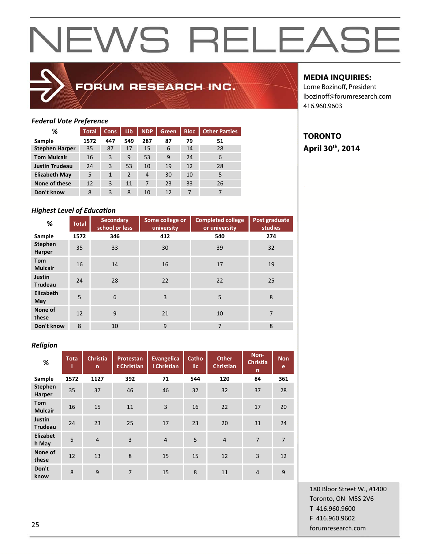

## FORUM RESEARCH INC.

## **MEDIA INQUIRIES:**

Lorne Bozinoff, President lbozinoff@forumresearch.com 416.960.9603

## *Federal Vote Preference*

| %                     | <b>Total</b> | <b>Cons</b> | Lib | <b>NDP</b> | Green. | <b>Bloc</b> | <b>Other Parties</b> |
|-----------------------|--------------|-------------|-----|------------|--------|-------------|----------------------|
| Sample                | 1572         | 447         | 549 | 287        | 87     | 79          | 51                   |
| <b>Stephen Harper</b> | 35           | 87          | 17  | 15         | 6      | 14          | 28                   |
| <b>Tom Mulcair</b>    | 16           | 3           | 9   | 53         | 9      | 24          | 6                    |
| <b>Justin Trudeau</b> | 24           | 3           | 53  | 10         | 19     | 12          | 28                   |
| <b>Elizabeth May</b>  | 5            | 1           | 2   | 4          | 30     | 10          | 5                    |
| None of these         | 12           | 3           | 11  | 7          | 23     | 33          | 26                   |
| Don't know            | 8            | 3           | 8   | 10         | 12     | 7           |                      |

## *Highest Level of Education*

| %                               | <b>Total</b> | <b>Secondary</b><br>school or less | Some college or<br>university | <b>Completed college</b><br>or university | Post graduate<br>studies |
|---------------------------------|--------------|------------------------------------|-------------------------------|-------------------------------------------|--------------------------|
| Sample                          | 1572         | 346                                | 412                           | 540                                       | 274                      |
| <b>Stephen</b><br>Harper        | 35           | 33                                 | 30                            | 39                                        | 32                       |
| <b>Tom</b><br><b>Mulcair</b>    | 16           | 14                                 | 16                            | 17                                        | 19                       |
| <b>Justin</b><br><b>Trudeau</b> | 24           | 28                                 | 22                            | 22                                        | 25                       |
| Elizabeth<br>May                | 5            | 6                                  | 3                             | 5                                         | 8                        |
| None of<br>these                | 12           | 9                                  | 21                            | 10                                        | 7                        |
| Don't know                      | 8            | 10                                 | 9                             | $\overline{7}$                            | 8                        |

### *Religion*

| %                            | <b>Tota</b> | <b>Christia</b><br>$\mathsf{n}$ | Protestan<br>t Christian | <b>Evangelica</b><br>I Christian | Catho<br>lic. | <b>Other</b><br><b>Christian</b> | Non-<br><b>Christia</b><br>n | <b>Non</b><br>e |
|------------------------------|-------------|---------------------------------|--------------------------|----------------------------------|---------------|----------------------------------|------------------------------|-----------------|
| Sample                       | 1572        | 1127                            | 392                      | 71                               | 544           | 120                              | 84                           | 361             |
| <b>Stephen</b><br>Harper     | 35          | 37                              | 46                       | 46                               | 32            | 32                               | 37                           | 28              |
| <b>Tom</b><br><b>Mulcair</b> | 16          | 15                              | 11                       | 3                                | 16            | 22                               | 17                           | 20              |
| Justin<br><b>Trudeau</b>     | 24          | 23                              | 25                       | 17                               | 23            | 20                               | 31                           | 24              |
| Elizabet<br>h May            | 5           | $\overline{4}$                  | $\overline{3}$           | $\overline{4}$                   | 5             | $\overline{4}$                   | $\overline{7}$               | $\overline{7}$  |
| None of<br>these             | 12          | 13                              | 8                        | 15                               | 15            | 12                               | 3                            | 12              |
| Don't<br>know                | 8           | 9                               | $\overline{7}$           | 15                               | 8             | 11                               | $\overline{4}$               | 9               |

180 Bloor Street W., #1400 Toronto, ON M5S 2V6 T 416.960.9600 F 416.960.9602 forumresearch.com 25

**TORONTO April 30th, 2014**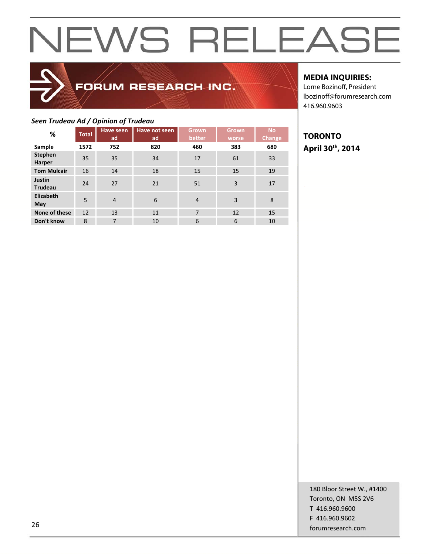## FORUM RESEARCH INC.

## **MEDIA INQUIRIES:**

Lorne Bozinoff, President lbozinoff@forumresearch.com 416.960.9603

## *Seen Trudeau Ad / Opinion of Trudeau*

| %                               | <b>Total</b> | <b>Have seen</b><br>ad | Have not seen<br>ad | Grown<br>better | <b>Grown</b><br>worse | <b>No</b><br><b>Change</b> |
|---------------------------------|--------------|------------------------|---------------------|-----------------|-----------------------|----------------------------|
| Sample                          | 1572         | 752                    | 820                 | 460             | 383                   | 680                        |
| <b>Stephen</b><br>Harper        | 35           | 35                     | 34                  | 17              | 61                    | 33                         |
| <b>Tom Mulcair</b>              | 16           | 14                     | 18                  | 15              | 15                    | 19                         |
| <b>Justin</b><br><b>Trudeau</b> | 24           | 27                     | 21                  | 51              | 3                     | 17                         |
| Elizabeth<br>May                | 5            | $\overline{4}$         | 6                   | $\overline{4}$  | 3                     | 8                          |
| None of these                   | 12           | 13                     | 11                  | $\overline{7}$  | 12                    | 15                         |
| Don't know                      | 8            | $\overline{7}$         | 10                  | 6               | 6                     | 10                         |

**TORONTO April 30th, 2014**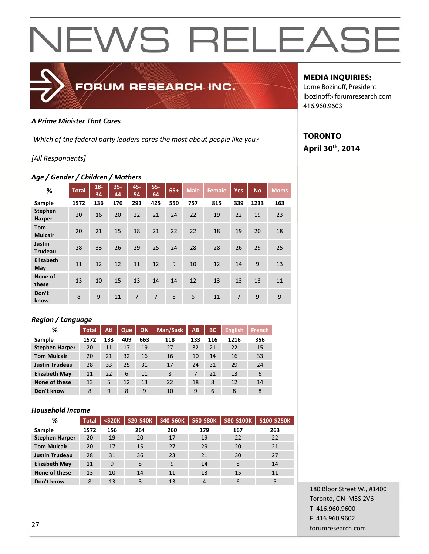

## *A Prime Minister That Cares*

*'Which of the federal party leaders cares the most about people like you?*

## *[All Respondents]*

## *Age / Gender / Children / Mothers*

| %                               | <b>Total</b> | $18 -$<br>34 | $35 -$<br>44 | 45-<br>54 | $55 -$<br>64   | $65+$ | <b>Male</b> | <b>Female</b> | Yes | <b>No</b> | <b>Moms</b> |
|---------------------------------|--------------|--------------|--------------|-----------|----------------|-------|-------------|---------------|-----|-----------|-------------|
| Sample                          | 1572         | 136          | 170          | 291       | 425            | 550   | 757         | 815           | 339 | 1233      | 163         |
| <b>Stephen</b><br><b>Harper</b> | 20           | 16           | 20           | 22        | 21             | 24    | 22          | 19            | 22  | 19        | 23          |
| <b>Tom</b><br><b>Mulcair</b>    | 20           | 21           | 15           | 18        | 21             | 22    | 22          | 18            | 19  | 20        | 18          |
| Justin<br><b>Trudeau</b>        | 28           | 33           | 26           | 29        | 25             | 24    | 28          | 28            | 26  | 29        | 25          |
| Elizabeth<br>May                | 11           | 12           | 12           | 11        | 12             | 9     | 10          | 12            | 14  | 9         | 13          |
| None of<br>these                | 13           | 10           | 15           | 13        | 14             | 14    | 12          | 13            | 13  | 13        | 11          |
| Don't<br>know                   | 8            | 9            | 11           | 7         | $\overline{7}$ | 8     | 6           | 11            | 7   | 9         | 9           |

## *Region / Language*

| %                     | <b>Total</b> | Atl | Que | ON  | Man/Sask | AB  | ВC  | <b>English</b> | <b>French</b> |
|-----------------------|--------------|-----|-----|-----|----------|-----|-----|----------------|---------------|
| Sample                | 1572         | 133 | 409 | 663 | 118      | 133 | 116 | 1216           | 356           |
| <b>Stephen Harper</b> | 20           | 11  | 17  | 19  | 27       | 32  | 21  | 22             | 15            |
| <b>Tom Mulcair</b>    | 20           | 21  | 32  | 16  | 16       | 10  | 14  | 16             | 33            |
| <b>Justin Trudeau</b> | 28           | 33  | 25  | 31  | 17       | 24  | 31  | 29             | 24            |
| <b>Elizabeth May</b>  | 11           | 22  | 6   | 11  | 8        | 7   | 21  | 13             | 6             |
| None of these         | 13           | 5   | 12  | 13  | 22       | 18  | 8   | 12             | 14            |
| Don't know            | 8            | 9   | 8   | 9   | 10       | 9   | 6   | 8              | 8             |

### *Household Income*

| %                     | <b>Total</b> | $<$ \$20 $K$ | <b>\$20-\$40K</b> | \$40-\$60K | \$60-\$80K | \$80-\$100K | \$100-\$250K |
|-----------------------|--------------|--------------|-------------------|------------|------------|-------------|--------------|
| Sample                | 1572         | 156          | 264               | 260        | 179        | 167         | 263          |
| <b>Stephen Harper</b> | 20           | 19           | 20                | 17         | 19         | 22          | 22           |
| <b>Tom Mulcair</b>    | 20           | 17           | 15                | 27         | 29         | 20          | 21           |
| <b>Justin Trudeau</b> | 28           | 31           | 36                | 23         | 21         | 30          | 27           |
| <b>Elizabeth May</b>  | 11           | 9            | 8                 | 9          | 14         | 8           | 14           |
| None of these         | 13           | 10           | 14                | 11         | 13         | 15          | 11           |
| Don't know            | 8            | 13           | 8                 | 13         | 4          | 6           | 5            |

## 180 Bloor Street W., #1400 Toronto, ON M5S 2V6 T 416.960.9600 F 416.960.9602 forumresearch.com 27

## **MEDIA INQUIRIES:**

Lorne Bozinoff, President lbozinoff@forumresearch.com 416.960.9603

## **TORONTO April 30th, 2014**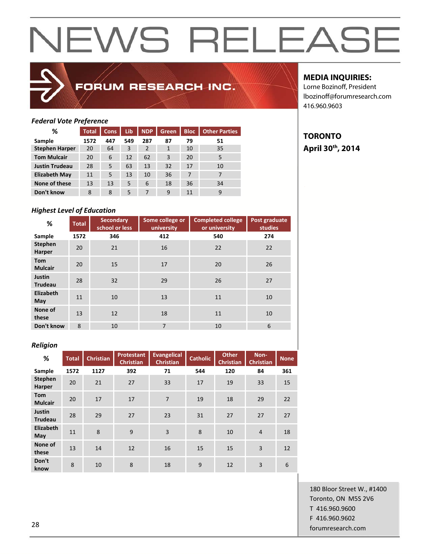

## FORUM RESEARCH INC.

## **MEDIA INQUIRIES:**

**TORONTO** 

**April 30th, 2014** 

Lorne Bozinoff, President lbozinoff@forumresearch.com 416.960.9603

## *Federal Vote Preference*

| %                     | <b>Total</b> | <b>Cons</b> | Lib. | <b>NDP</b> | Green        | <b>Bloc</b> | <b>Other Parties</b> |
|-----------------------|--------------|-------------|------|------------|--------------|-------------|----------------------|
| Sample                | 1572         | 447         | 549  | 287        | 87           | 79          | 51                   |
| <b>Stephen Harper</b> | 20           | 64          | 3    | 2          | $\mathbf{1}$ | 10          | 35                   |
| <b>Tom Mulcair</b>    | 20           | 6           | 12   | 62         | 3            | 20          | 5                    |
| <b>Justin Trudeau</b> | 28           | 5           | 63   | 13         | 32           | 17          | 10                   |
| <b>Elizabeth May</b>  | 11           | 5           | 13   | 10         | 36           | 7           |                      |
| None of these         | 13           | 13          | 5    | 6          | 18           | 36          | 34                   |
| Don't know            | 8            | 8           | 5    | 7          | 9            | 11          | 9                    |

## *Highest Level of Education*

| %                               | <b>Total</b> | <b>Secondary</b><br>school or less | Some college or<br>university | <b>Completed college</b><br>or university | Post graduate<br>studies |
|---------------------------------|--------------|------------------------------------|-------------------------------|-------------------------------------------|--------------------------|
| Sample                          | 1572         | 346                                | 412                           | 540                                       | 274                      |
| <b>Stephen</b><br>Harper        | 20           | 21                                 | 16                            | 22                                        | 22                       |
| <b>Tom</b><br><b>Mulcair</b>    | 20           | 15                                 | 17                            | 20                                        | 26                       |
| <b>Justin</b><br><b>Trudeau</b> | 28           | 32                                 | 29                            | 26                                        | 27                       |
| Elizabeth<br>May                | 11           | 10                                 | 13                            | 11                                        | 10                       |
| None of<br>these                | 13           | 12                                 | 18                            | 11                                        | 10                       |
| Don't know                      | 8            | 10                                 | $\overline{7}$                | 10                                        | 6                        |

### *Religion*

| %                            | <b>Total</b> | <b>Christian</b> | <b>Protestant</b><br><b>Christian</b> | Evangelical<br><b>Christian</b> | <b>Catholic</b> | <b>Other</b><br>Christian | Non-<br><b>Christian</b> | <b>None</b> |
|------------------------------|--------------|------------------|---------------------------------------|---------------------------------|-----------------|---------------------------|--------------------------|-------------|
| Sample                       | 1572         | 1127             | 392                                   | 71                              | 544             | 120                       | 84                       | 361         |
| <b>Stephen</b><br>Harper     | 20           | 21               | 27                                    | 33                              | 17              | 19                        | 33                       | 15          |
| <b>Tom</b><br><b>Mulcair</b> | 20           | 17               | 17                                    | $\overline{7}$                  | 19              | 18                        | 29                       | 22          |
| Justin<br><b>Trudeau</b>     | 28           | 29               | 27                                    | 23                              | 31              | 27                        | 27                       | 27          |
| Elizabeth<br>May             | 11           | 8                | 9                                     | $\overline{3}$                  | 8               | 10                        | $\overline{4}$           | 18          |
| None of<br>these             | 13           | 14               | 12                                    | 16                              | 15              | 15                        | $\overline{3}$           | 12          |
| Don't<br>know                | 8            | 10               | 8                                     | 18                              | 9               | 12                        | $\overline{3}$           | 6           |

180 Bloor Street W., #1400 Toronto, ON M5S 2V6 T 416.960.9600 F 416.960.9602 za de la contrada de la contrada de la contrada de la contrada de la contrada de la contrada de la contrada de<br>28 de junho de la contrada de la contrada de la contrada de la contrada de la contrada de la contrada de la co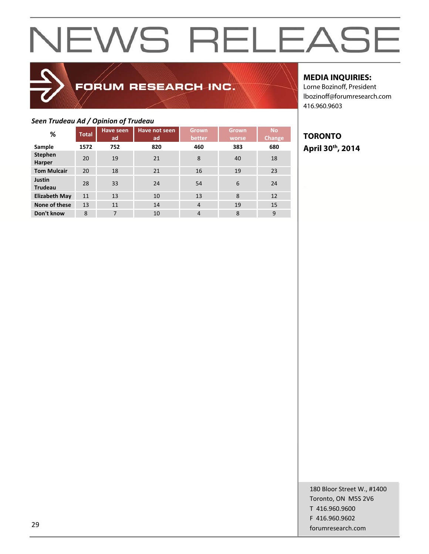## FORUM RESEARCH INC.

## *Seen Trudeau Ad / Opinion of Trudeau*

| <del>.</del> .                  |              | <u> = p =  = ,  </u>   |                     |                        |                |                     |
|---------------------------------|--------------|------------------------|---------------------|------------------------|----------------|---------------------|
| %                               | <b>Total</b> | <b>Have seen</b><br>ad | Have not seen<br>ad | <b>Grown</b><br>better | Grown<br>worse | <b>No</b><br>Change |
| Sample                          | 1572         | 752                    | 820                 | 460                    | 383            | 680                 |
| <b>Stephen</b><br>Harper        | 20           | 19                     | 21                  | 8                      | 40             | 18                  |
| <b>Tom Mulcair</b>              | 20           | 18                     | 21                  | 16                     | 19             | 23                  |
| <b>Justin</b><br><b>Trudeau</b> | 28           | 33                     | 24                  | 54                     | 6              | 24                  |
| <b>Elizabeth May</b>            | 11           | 13                     | 10                  | 13                     | 8              | 12                  |
| None of these                   | 13           | 11                     | 14                  | $\overline{4}$         | 19             | 15                  |
| Don't know                      | 8            | $\overline{7}$         | 10                  | 4                      | 8              | 9                   |

## **MEDIA INQUIRIES:**

Lorne Bozinoff, President lbozinoff@forumresearch.com 416.960.9603

## **TORONTO April 30th, 2014**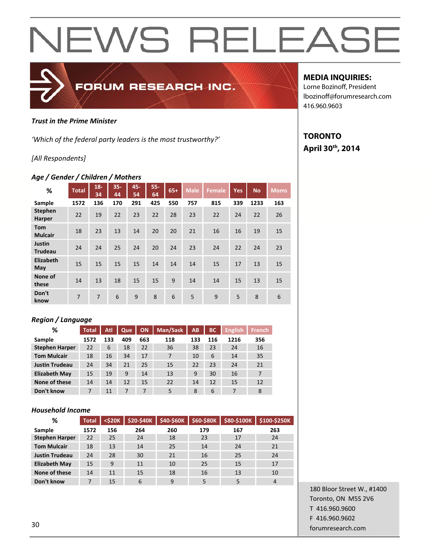

### *Trust in the Prime Minister*

*'Which of the federal party leaders is the most trustworthy?'*

## *[All Respondents]*

### *Age / Gender / Children / Mothers*

| %                            | <b>Total</b>   | $18 -$<br>34 | $35 -$<br>44 | 45-<br>54 | $55 -$<br>64 | $65+$ | <b>Male</b> | <b>Female</b> | <b>Yes</b> | <b>No</b> | <b>Moms</b> |
|------------------------------|----------------|--------------|--------------|-----------|--------------|-------|-------------|---------------|------------|-----------|-------------|
| Sample                       | 1572           | 136          | 170          | 291       | 425          | 550   | 757         | 815           | 339        | 1233      | 163         |
| <b>Stephen</b><br>Harper     | 22             | 19           | 22           | 23        | 22           | 28    | 23          | 22            | 24         | 22        | 26          |
| <b>Tom</b><br><b>Mulcair</b> | 18             | 23           | 13           | 14        | 20           | 20    | 21          | 16            | 16         | 19        | 15          |
| Justin<br><b>Trudeau</b>     | 24             | 24           | 25           | 24        | 20           | 24    | 23          | 24            | 22         | 24        | 23          |
| Elizabeth<br>May             | 15             | 15           | 15           | 15        | 14           | 14    | 14          | 15            | 17         | 13        | 15          |
| None of<br>these             | 14             | 13           | 18           | 15        | 15           | 9     | 14          | 14            | 15         | 13        | 15          |
| Don't<br>know                | $\overline{7}$ | 7            | 6            | 9         | 8            | 6     | 5           | 9             | 5          | 8         | 6           |

## *Region / Language*

| %                     | <b>Total</b> | Atl | Que | ON  | Man/Sask | AB  | ВC  | <b>English</b> | <b>French</b> |
|-----------------------|--------------|-----|-----|-----|----------|-----|-----|----------------|---------------|
| Sample                | 1572         | 133 | 409 | 663 | 118      | 133 | 116 | 1216           | 356           |
| <b>Stephen Harper</b> | 22           | 6   | 18  | 22  | 36       | 38  | 23  | 24             | 16            |
| <b>Tom Mulcair</b>    | 18           | 16  | 34  | 17  | 7        | 10  | 6   | 14             | 35            |
| <b>Justin Trudeau</b> | 24           | 34  | 21  | 25  | 15       | 22  | 23  | 24             | 21            |
| <b>Elizabeth May</b>  | 15           | 19  | 9   | 14  | 13       | 9   | 30  | 16             | 7             |
| None of these         | 14           | 14  | 12  | 15  | 22       | 14  | 12  | 15             | 12            |
| Don't know            | 7            | 11  |     | 7   | 5        | 8   | 6   | 7              | 8             |

### *Household Income*

| %                     | <b>Total</b> | $<$ \$20 $K$ | <b>\$20-\$40K</b> | \$40-\$60K | \$60-\$80K | \$80-\$100K | \$100-\$250K |
|-----------------------|--------------|--------------|-------------------|------------|------------|-------------|--------------|
| Sample                | 1572         | 156          | 264               | 260        | 179        | 167         | 263          |
| <b>Stephen Harper</b> | 22           | 25           | 24                | 18         | 23         | 17          | 24           |
| <b>Tom Mulcair</b>    | 18           | 13           | 14                | 25         | 14         | 24          | 21           |
| <b>Justin Trudeau</b> | 24           | 28           | 30                | 21         | 16         | 25          | 24           |
| <b>Elizabeth May</b>  | 15           | 9            | 11                | 10         | 25         | 15          | 17           |
| None of these         | 14           | 11           | 15                | 18         | 16         | 13          | 10           |
| Don't know            | 7            | 15           | 6                 | 9          | 5          | 5           | 4            |

## 180 Bloor Street W., #1400 Toronto, ON M5S 2V6 T 416.960.9600 F 416.960.9602 forumresearch.com 30

## **MEDIA INQUIRIES:**

Lorne Bozinoff, President lbozinoff@forumresearch.com 416.960.9603

## **TORONTO April 30th, 2014**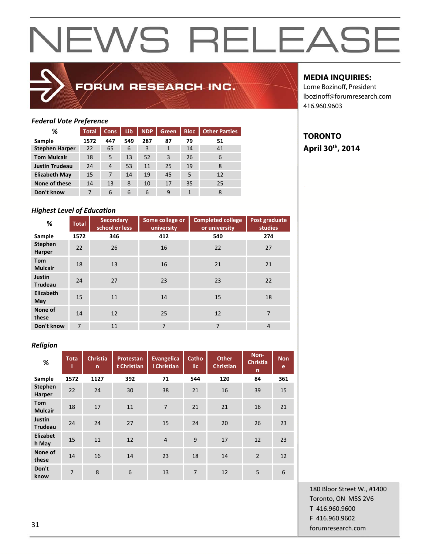## FORUM RESEARCH INC.

## **MEDIA INQUIRIES:**

**TORONTO** 

**April 30th, 2014** 

Lorne Bozinoff, President lbozinoff@forumresearch.com 416.960.9603

## *Federal Vote Preference*

| %                     | <b>Total</b> | <b>Cons</b> | Lib | <b>NDP</b> | Green | <b>Bloc</b> | <b>Other Parties</b> |
|-----------------------|--------------|-------------|-----|------------|-------|-------------|----------------------|
| Sample                | 1572         | 447         | 549 | 287        | 87    | 79          | 51                   |
| <b>Stephen Harper</b> | 22           | 65          | 6   | 3          | 1     | 14          | 41                   |
| <b>Tom Mulcair</b>    | 18           | 5           | 13  | 52         | 3     | 26          | 6                    |
| <b>Justin Trudeau</b> | 24           | 4           | 53  | 11         | 25    | 19          | 8                    |
| <b>Elizabeth May</b>  | 15           | 7           | 14  | 19         | 45    | 5           | 12                   |
| None of these         | 14           | 13          | 8   | 10         | 17    | 35          | 25                   |
| Don't know            | 7            | 6           | 6   | 6          | 9     | 1           | 8                    |

## *Highest Level of Education*

| %                               | <b>Total</b> | <b>Secondary</b><br>school or less | Some college or<br>university | <b>Completed college</b><br>or university | Post graduate<br>studies |
|---------------------------------|--------------|------------------------------------|-------------------------------|-------------------------------------------|--------------------------|
| Sample                          | 1572         | 346                                | 412                           | 540                                       | 274                      |
| <b>Stephen</b><br>Harper        | 22           | 26                                 | 16                            | 22                                        | 27                       |
| <b>Tom</b><br><b>Mulcair</b>    | 18           | 13                                 | 16                            | 21                                        | 21                       |
| <b>Justin</b><br><b>Trudeau</b> | 24           | 27                                 | 23                            | 23                                        | 22                       |
| Elizabeth<br>May                | 15           | 11                                 | 14                            | 15                                        | 18                       |
| None of<br>these                | 14           | 12                                 | 25                            | 12                                        | $\overline{7}$           |
| Don't know                      | 7            | 11                                 | $\overline{7}$                | $\overline{7}$                            | 4                        |

### *Religion*

| %                            | <b>Tota</b> | <b>Christia</b><br>$\mathsf{n}$ | Protestan<br>t Christian | Evangelica<br>I Christian | Catho<br>lic | <b>Other</b><br><b>Christian</b> | Non-<br><b>Christia</b><br>n | <b>Non</b><br>e |
|------------------------------|-------------|---------------------------------|--------------------------|---------------------------|--------------|----------------------------------|------------------------------|-----------------|
| Sample                       | 1572        | 1127                            | 392                      | 71                        | 544          | 120                              | 84                           | 361             |
| <b>Stephen</b><br>Harper     | 22          | 24                              | 30                       | 38                        | 21           | 16                               | 39                           | 15              |
| <b>Tom</b><br><b>Mulcair</b> | 18          | 17                              | 11                       | $\overline{7}$            | 21           | 21                               | 16                           | 21              |
| Justin<br><b>Trudeau</b>     | 24          | 24                              | 27                       | 15                        | 24           | 20                               | 26                           | 23              |
| <b>Elizabet</b><br>h May     | 15          | 11                              | 12                       | $\overline{4}$            | 9            | 17                               | 12                           | 23              |
| None of<br>these             | 14          | 16                              | 14                       | 23                        | 18           | 14                               | $\overline{2}$               | 12              |
| Don't<br>know                | 7           | 8                               | 6                        | 13                        | 7            | 12                               | 5                            | 6               |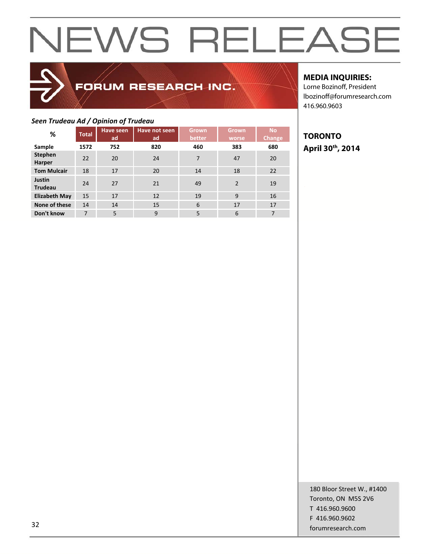## FORUM RESEARCH INC.

## **MEDIA INQUIRIES:**

Lorne Bozinoff, President lbozinoff@forumresearch.com 416.960.9603

## *Seen Trudeau Ad / Opinion of Trudeau*

| %                               | <b>Total</b> | Have seen<br>ad | Have not seen<br>ad | Grown<br>better | <b>Grown</b><br>worse | <b>No</b><br>Change |
|---------------------------------|--------------|-----------------|---------------------|-----------------|-----------------------|---------------------|
| Sample                          | 1572         | 752             | 820                 | 460             | 383                   | 680                 |
| <b>Stephen</b><br>Harper        | 22           | 20              | 24                  | $\overline{7}$  | 47                    | 20                  |
| <b>Tom Mulcair</b>              | 18           | 17              | 20                  | 14              | 18                    | 22                  |
| <b>Justin</b><br><b>Trudeau</b> | 24           | 27              | 21                  | 49              | $\mathcal{P}$         | 19                  |
| <b>Elizabeth May</b>            | 15           | 17              | 12                  | 19              | 9                     | 16                  |
| None of these                   | 14           | 14              | 15                  | 6               | 17                    | 17                  |
| Don't know                      | 7            | 5               | 9                   | 5               | 6                     | 7                   |

## **TORONTO April 30th, 2014**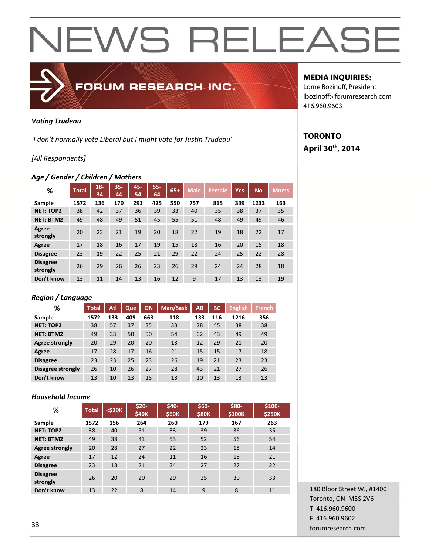## FORUM RESEARCH INC.

## *Voting Trudeau*

*'I don't normally vote Liberal but I might vote for Justin Trudeau'*

## *[All Respondents]*

### *Age / Gender / Children / Mothers*

| %                           | <b>Total</b> | $18 -$<br>34 | $35 -$<br>44 | 45-<br>54 | $55 -$<br>64 | $65+$ | <b>Male</b> | <b>Female</b> | <b>Yes</b> | <b>No</b> | <b>Moms</b> |
|-----------------------------|--------------|--------------|--------------|-----------|--------------|-------|-------------|---------------|------------|-----------|-------------|
| Sample                      | 1572         | 136          | 170          | 291       | 425          | 550   | 757         | 815           | 339        | 1233      | 163         |
| <b>NET: TOP2</b>            | 38           | 42           | 37           | 36        | 39           | 33    | 40          | 35            | 38         | 37        | 35          |
| <b>NET: BTM2</b>            | 49           | 48           | 49           | 51        | 45           | 55    | 51          | 48            | 49         | 49        | 46          |
| Agree<br>strongly           | 20           | 23           | 21           | 19        | 20           | 18    | 22          | 19            | 18         | 22        | 17          |
| Agree                       | 17           | 18           | 16           | 17        | 19           | 15    | 18          | 16            | 20         | 15        | 18          |
| <b>Disagree</b>             | 23           | 19           | 22           | 25        | 21           | 29    | 22          | 24            | 25         | 22        | 28          |
| <b>Disagree</b><br>strongly | 26           | 29           | 26           | 26        | 23           | 26    | 29          | 24            | 24         | 28        | 18          |
| Don't know                  | 13           | 11           | 14           | 13        | 16           | 12    | 9           | 17            | 13         | 13        | 19          |

## *Region / Language*

| ℅                 | <b>Total</b> | Atl | Que | ON  | Man/Sask | AB  | <b>BC</b> | <b>English</b> | <b>French</b> |
|-------------------|--------------|-----|-----|-----|----------|-----|-----------|----------------|---------------|
| Sample            | 1572         | 133 | 409 | 663 | 118      | 133 | 116       | 1216           | 356           |
| <b>NET: TOP2</b>  | 38           | 57  | 37  | 35  | 33       | 28  | 45        | 38             | 38            |
| <b>NET: BTM2</b>  | 49           | 33  | 50  | 50  | 54       | 62  | 43        | 49             | 49            |
| Agree strongly    | 20           | 29  | 20  | 20  | 13       | 12  | 29        | 21             | 20            |
| Agree             | 17           | 28  | 17  | 16  | 21       | 15  | 15        | 17             | 18            |
| <b>Disagree</b>   | 23           | 23  | 25  | 23  | 26       | 19  | 21        | 23             | 23            |
| Disagree strongly | 26           | 10  | 26  | 27  | 28       | 43  | 21        | 27             | 26            |
| Don't know        | 13           | 10  | 13  | 15  | 13       | 10  | 13        | 13             | 13            |

## *Household Income*

| %                           | <b>Total</b> | <\$20K | \$20-<br><b>\$40K</b> | \$40-<br><b>\$60K</b> | \$60-<br>\$80K | \$80-<br>\$100K | \$100-<br><b>\$250K</b> |
|-----------------------------|--------------|--------|-----------------------|-----------------------|----------------|-----------------|-------------------------|
| Sample                      | 1572         | 156    | 264                   | 260                   | 179            | 167             | 263                     |
| <b>NET: TOP2</b>            | 38           | 40     | 51                    | 33                    | 39             | 36              | 35                      |
| <b>NET: BTM2</b>            | 49           | 38     | 41                    | 53                    | 52             | 56              | 54                      |
| Agree strongly              | 20           | 28     | 27                    | 22                    | 23             | 18              | 14                      |
| Agree                       | 17           | 12     | 24                    | 11                    | 16             | 18              | 21                      |
| <b>Disagree</b>             | 23           | 18     | 21                    | 24                    | 27             | 27              | 22                      |
| <b>Disagree</b><br>strongly | 26           | 20     | 20                    | 29                    | 25             | 30              | 33                      |
| Don't know                  | 13           | 22     | 8                     | 14                    | 9              | 8               | 11                      |

## **MEDIA INQUIRIES:**

Lorne Bozinoff, President lbozinoff@forumresearch.com 416.960.9603

## **TORONTO April 30th, 2014**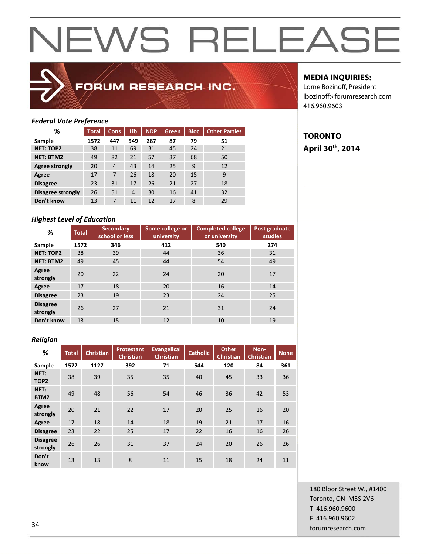

## FORUM RESEARCH INC.

## **MEDIA INQUIRIES:**

**TORONTO** 

**April 30th, 2014** 

Lorne Bozinoff, President lbozinoff@forumresearch.com 416.960.9603

## *Federal Vote Preference*

| %                 | <b>Total</b> | <b>Cons</b>    | Lib            | <b>NDP</b> | <b>Green</b> | <b>Bloc</b> | <b>Other Parties</b> |
|-------------------|--------------|----------------|----------------|------------|--------------|-------------|----------------------|
| Sample            | 1572         | 447            | 549            | 287        | 87           | 79          | 51                   |
| <b>NET: TOP2</b>  | 38           | 11             | 69             | 31         | 45           | 24          | 21                   |
| <b>NET: BTM2</b>  | 49           | 82             | 21             | 57         | 37           | 68          | 50                   |
| Agree strongly    | 20           | $\overline{4}$ | 43             | 14         | 25           | 9           | 12                   |
| Agree             | 17           | 7              | 26             | 18         | 20           | 15          | 9                    |
| <b>Disagree</b>   | 23           | 31             | 17             | 26         | 21           | 27          | 18                   |
| Disagree strongly | 26           | 51             | $\overline{4}$ | 30         | 16           | 41          | 32                   |
| Don't know        | 13           | 7              | 11             | 12         | 17           | 8           | 29                   |

## *Highest Level of Education*

| %                           | <b>Total</b> | <b>Secondary</b><br>school or less | Some college or<br>university | <b>Completed college</b><br>or university | Post graduate<br><b>studies</b> |
|-----------------------------|--------------|------------------------------------|-------------------------------|-------------------------------------------|---------------------------------|
| Sample                      | 1572         | 346                                | 412                           | 540                                       | 274                             |
| <b>NET: TOP2</b>            | 38           | 39                                 | 44                            | 36                                        | 31                              |
| <b>NET: BTM2</b>            | 49           | 45                                 | 44                            | 54                                        | 49                              |
| Agree<br>strongly           | 20           | 22                                 | 24                            | 20                                        | 17                              |
| Agree                       | 17           | 18                                 | 20                            | 16                                        | 14                              |
| <b>Disagree</b>             | 23           | 19                                 | 23                            | 24                                        | 25                              |
| <b>Disagree</b><br>strongly | 26           | 27                                 | 21                            | 31                                        | 24                              |
| Don't know                  | 13           | 15                                 | 12                            | 10                                        | 19                              |

### *Religion*

| %                           | <b>Total</b> | <b>Christian</b> | <b>Protestant</b><br>Christian | <b>Evangelical</b><br><b>Christian</b> | <b>Catholic</b> | <b>Other</b><br><b>Christian</b> | Non-<br>Christian | <b>None</b> |
|-----------------------------|--------------|------------------|--------------------------------|----------------------------------------|-----------------|----------------------------------|-------------------|-------------|
| Sample                      | 1572         | 1127             | 392                            | 71                                     | 544             | 120                              | 84                | 361         |
| NET:<br>TOP <sub>2</sub>    | 38           | 39               | 35                             | 35                                     | 40              | 45                               | 33                | 36          |
| NET:<br>BTM2                | 49           | 48               | 56                             | 54                                     | 46              | 36                               | 42                | 53          |
| Agree<br>strongly           | 20           | 21               | 22                             | 17                                     | 20              | 25                               | 16                | 20          |
| Agree                       | 17           | 18               | 14                             | 18                                     | 19              | 21                               | 17                | 16          |
| <b>Disagree</b>             | 23           | 22               | 25                             | 17                                     | 22              | 16                               | 16                | 26          |
| <b>Disagree</b><br>strongly | 26           | 26               | 31                             | 37                                     | 24              | 20                               | 26                | 26          |
| Don't<br>know               | 13           | 13               | 8                              | 11                                     | 15              | 18                               | 24                | 11          |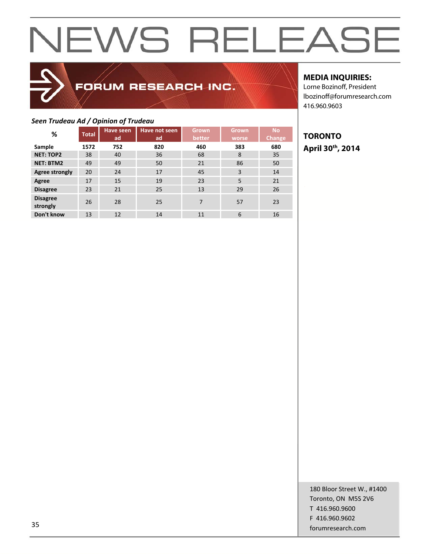## FORUM RESEARCH INC.

## **MEDIA INQUIRIES:**

Lorne Bozinoff, President lbozinoff@forumresearch.com 416.960.9603

## *Seen Trudeau Ad / Opinion of Trudeau*

| %                           | <b>Total</b> | <b>Have seen</b><br>ad | Have not seen<br>ad | Grown<br>better | <b>Grown</b><br>worse | <b>No</b><br><b>Change</b> |
|-----------------------------|--------------|------------------------|---------------------|-----------------|-----------------------|----------------------------|
| Sample                      | 1572         | 752                    | 820                 | 460             | 383                   | 680                        |
| <b>NET: TOP2</b>            | 38           | 40                     | 36                  | 68              | 8                     | 35                         |
| <b>NET: BTM2</b>            | 49           | 49                     | 50                  | 21              | 86                    | 50                         |
| <b>Agree strongly</b>       | 20           | 24                     | 17                  | 45              | 3                     | 14                         |
| Agree                       | 17           | 15                     | 19                  | 23              | 5                     | 21                         |
| <b>Disagree</b>             | 23           | 21                     | 25                  | 13              | 29                    | 26                         |
| <b>Disagree</b><br>strongly | 26           | 28                     | 25                  | 7               | 57                    | 23                         |
| Don't know                  | 13           | 12                     | 14                  | 11              | 6                     | 16                         |

## **TORONTO April 30th, 2014**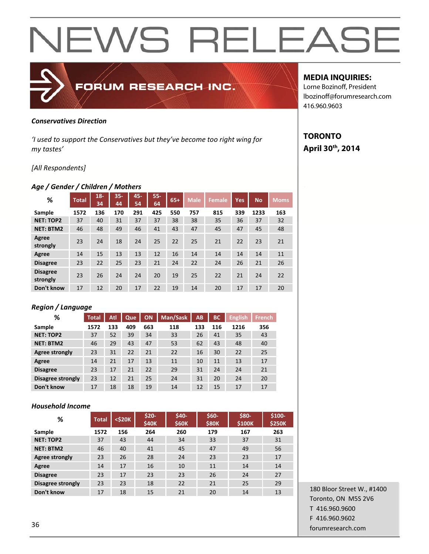### *Conservatives Direction*

*'I used to support the Conservatives but they've become too right wing for my tastes'* 

FORUM RESEARCH INC.

### *[All Respondents]*

### *Age / Gender / Children / Mothers*

| %                           | <b>Total</b> | $18-$<br>34 | $35 -$<br>44 | 45-<br>54 | $55 -$<br>64 | $65+$ | <b>Male</b> | <b>Female</b> | <b>Yes</b> | <b>No</b> | <b>Moms</b> |
|-----------------------------|--------------|-------------|--------------|-----------|--------------|-------|-------------|---------------|------------|-----------|-------------|
| Sample                      | 1572         | 136         | 170          | 291       | 425          | 550   | 757         | 815           | 339        | 1233      | 163         |
| <b>NET: TOP2</b>            | 37           | 40          | 31           | 37        | 37           | 38    | 38          | 35            | 36         | 37        | 32          |
| <b>NET: BTM2</b>            | 46           | 48          | 49           | 46        | 41           | 43    | 47          | 45            | 47         | 45        | 48          |
| Agree<br>strongly           | 23           | 24          | 18           | 24        | 25           | 22    | 25          | 21            | 22         | 23        | 21          |
| Agree                       | 14           | 15          | 13           | 13        | 12           | 16    | 14          | 14            | 14         | 14        | 11          |
| <b>Disagree</b>             | 23           | 22          | 25           | 23        | 21           | 24    | 22          | 24            | 26         | 21        | 26          |
| <b>Disagree</b><br>strongly | 23           | 26          | 24           | 24        | 20           | 19    | 25          | 22            | 21         | 24        | 22          |
| Don't know                  | 17           | 12          | 20           | 17        | 22           | 19    | 14          | 20            | 17         | 17        | 20          |

### *Region / Language*

| ℅                 | <b>Total</b> | Atl | Que | <b>ON</b> | Man/Sask | AB  | ВC  | <b>English</b> | <b>French</b> |
|-------------------|--------------|-----|-----|-----------|----------|-----|-----|----------------|---------------|
| Sample            | 1572         | 133 | 409 | 663       | 118      | 133 | 116 | 1216           | 356           |
| <b>NET: TOP2</b>  | 37           | 52  | 39  | 34        | 33       | 26  | 41  | 35             | 43            |
| <b>NET: BTM2</b>  | 46           | 29  | 43  | 47        | 53       | 62  | 43  | 48             | 40            |
| Agree strongly    | 23           | 31  | 22  | 21        | 22       | 16  | 30  | 22             | 25            |
| Agree             | 14           | 21  | 17  | 13        | 11       | 10  | 11  | 13             | 17            |
| <b>Disagree</b>   | 23           | 17  | 21  | 22        | 29       | 31  | 24  | 24             | 21            |
| Disagree strongly | 23           | 12  | 21  | 25        | 24       | 31  | 20  | 24             | 20            |
| Don't know        | 17           | 18  | 18  | 19        | 14       | 12  | 15  | 17             | 17            |

### *Household Income*

| %                 | <b>Total</b> | <\$20K | $$20-$<br>\$40K | $$40-$<br><b>\$60K</b> | \$60-<br><b>\$80K</b> | \$80-<br>\$100K | \$100-<br><b>\$250K</b> |
|-------------------|--------------|--------|-----------------|------------------------|-----------------------|-----------------|-------------------------|
| Sample            | 1572         | 156    | 264             | 260                    | 179                   | 167             | 263                     |
| <b>NET: TOP2</b>  | 37           | 43     | 44              | 34                     | 33                    | 37              | 31                      |
| <b>NET: BTM2</b>  | 46           | 40     | 41              | 45                     | 47                    | 49              | 56                      |
| Agree strongly    | 23           | 26     | 28              | 24                     | 23                    | 23              | 17                      |
| Agree             | 14           | 17     | 16              | 10                     | 11                    | 14              | 14                      |
| <b>Disagree</b>   | 23           | 17     | 23              | 23                     | 26                    | 24              | 27                      |
| Disagree strongly | 23           | 23     | 18              | 22                     | 21                    | 25              | 29                      |
| Don't know        | 17           | 18     | 15              | 21                     | 20                    | 14              | 13                      |

180 Bloor Street W., #1400 Toronto, ON M5S 2V6 T 416.960.9600 F 416.960.9602 forumresearch.com 36

## **MEDIA INQUIRIES:**

Lorne Bozinoff, President lbozinoff@forumresearch.com 416.960.9603

## **TORONTO April 30th, 2014**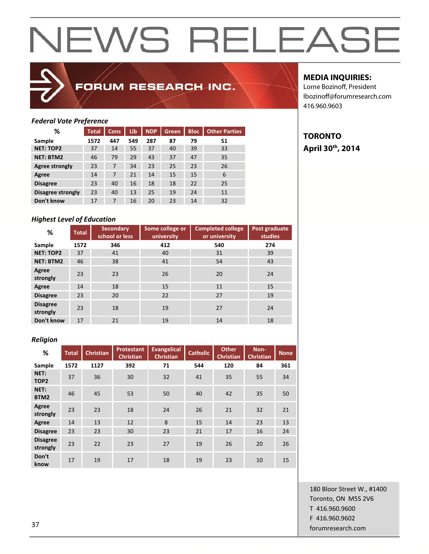

## FORUM RESEARCH INC.

## **MEDIA INQUIRIES:**

Lorne Bozinoff, President lbozinoff@forumresearch.com 416.960.9603

## *Federal Vote Preference*

| %                        | <b>Total</b> | <b>Cons</b> | Lib | <b>NDP</b> | <b>Green</b> | <b>Bloc</b> | <b>Other Parties</b> |
|--------------------------|--------------|-------------|-----|------------|--------------|-------------|----------------------|
| Sample                   | 1572         | 447         | 549 | 287        | 87           | 79          | 51                   |
| <b>NET: TOP2</b>         | 37           | 14          | 55  | 37         | 40           | 39          | 33                   |
| <b>NET: BTM2</b>         | 46           | 79          | 29  | 43         | 37           | 47          | 35                   |
| Agree strongly           | 23           | 7           | 34  | 23         | 25           | 23          | 26                   |
| Agree                    | 14           | 7           | 21  | 14         | 15           | 15          | 6                    |
| <b>Disagree</b>          | 23           | 40          | 16  | 18         | 18           | 22          | 25                   |
| <b>Disagree strongly</b> | 23           | 40          | 13  | 25         | 19           | 24          | 11                   |
| Don't know               | 17           | 7           | 16  | 20         | 23           | 14          | 32                   |

## *Highest Level of Education*

| %                           | <b>Total</b> | <b>Secondary</b><br>school or less | Some college or<br>university | <b>Completed college</b><br>or university | Post graduate<br>studies |
|-----------------------------|--------------|------------------------------------|-------------------------------|-------------------------------------------|--------------------------|
| Sample                      | 1572         | 346                                | 412                           | 540                                       | 274                      |
| <b>NET: TOP2</b>            | 37           | 41                                 | 40                            | 31                                        | 39                       |
| <b>NET: BTM2</b>            | 46           | 38                                 | 41                            | 54                                        | 43                       |
| Agree<br>strongly           | 23           | 23                                 | 26                            | 20                                        | 24                       |
| Agree                       | 14           | 18                                 | 15                            | 11                                        | 15                       |
| <b>Disagree</b>             | 23           | 20                                 | 22                            | 27                                        | 19                       |
| <b>Disagree</b><br>strongly | 23           | 18                                 | 19                            | 27                                        | 24                       |
| Don't know                  | 17           | 21                                 | 19                            | 14                                        | 18                       |

### *Religion*

| %                           | <b>Total</b> | <b>Christian</b> | <b>Protestant</b><br><b>Christian</b> | <b>Evangelical</b><br><b>Christian</b> | <b>Catholic</b> | <b>Other</b><br><b>Christian</b> | Non-<br><b>Christian</b> | <b>None</b> |
|-----------------------------|--------------|------------------|---------------------------------------|----------------------------------------|-----------------|----------------------------------|--------------------------|-------------|
| Sample                      | 1572         | 1127             | 392                                   | 71                                     | 544             | 120                              | 84                       | 361         |
| NET:<br>TOP <sub>2</sub>    | 37           | 36               | 30                                    | 32                                     | 41              | 35                               | 55                       | 34          |
| NET:<br>BTM2                | 46           | 45               | 53                                    | 50                                     | 40              | 42                               | 35                       | 50          |
| Agree<br>strongly           | 23           | 23               | 18                                    | 24                                     | 26              | 21                               | 32                       | 21          |
| Agree                       | 14           | 13               | 12                                    | 8                                      | 15              | 14                               | 23                       | 13          |
| <b>Disagree</b>             | 23           | 23               | 30                                    | 23                                     | 21              | 17                               | 16                       | 24          |
| <b>Disagree</b><br>strongly | 23           | 22               | 23                                    | 27                                     | 19              | 26                               | 20                       | 26          |
| Don't<br>know               | 17           | 19               | 17                                    | 18                                     | 19              | 23                               | 10                       | 15          |

180 Bloor Street W., #1400 Toronto, ON M5S 2V6 T 416.960.9600 F 416.960.9602 forumresearch.com and the set of the set of the set of the set of the set of the set of the set of the set of the set of the set of the set of the set of the set of the set of the set of the set of the set of the set of th

**TORONTO April 30th, 2014**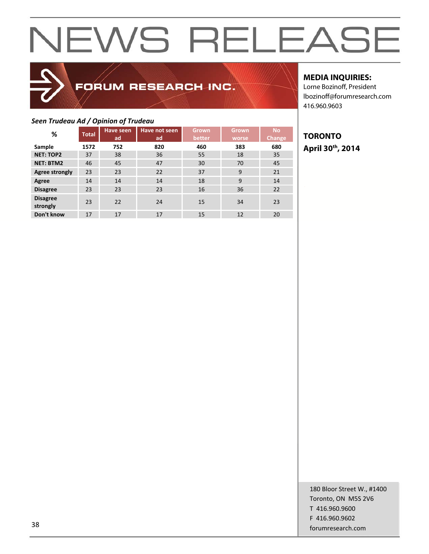## FORUM RESEARCH INC.

## **MEDIA INQUIRIES:**

Lorne Bozinoff, President lbozinoff@forumresearch.com 416.960.9603

## *Seen Trudeau Ad / Opinion of Trudeau*

| %                           | <b>Total</b> | <b>Have seen</b><br>ad | Have not seen<br>ad | <b>Grown</b><br>better | Grown<br>worse | <b>No</b><br>Change |
|-----------------------------|--------------|------------------------|---------------------|------------------------|----------------|---------------------|
| Sample                      | 1572         | 752                    | 820                 | 460                    | 383            | 680                 |
| <b>NET: TOP2</b>            | 37           | 38                     | 36                  | 55                     | 18             | 35                  |
| <b>NET: BTM2</b>            | 46           | 45                     | 47                  | 30                     | 70             | 45                  |
| <b>Agree strongly</b>       | 23           | 23                     | 22                  | 37                     | 9              | 21                  |
| Agree                       | 14           | 14                     | 14                  | 18                     | 9              | 14                  |
| <b>Disagree</b>             | 23           | 23                     | 23                  | 16                     | 36             | 22                  |
| <b>Disagree</b><br>strongly | 23           | 22                     | 24                  | 15                     | 34             | 23                  |
| Don't know                  | 17           | 17                     | 17                  | 15                     | 12             | 20                  |

## **TORONTO April 30th, 2014**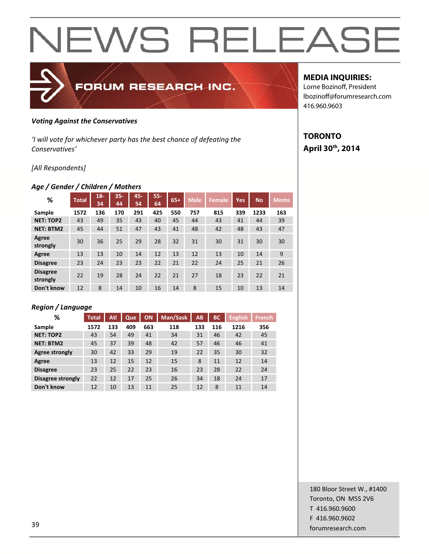

### *Voting Against the Conservatives*

*'I will vote for whichever party has the best chance of defeating the Conservatives'* 

## *[All Respondents]*

## *Age / Gender / Children / Mothers*

| %                           | <b>Total</b> | $18 -$<br>34 | $35 -$<br>44 | 45-<br>54 | $55 -$<br>64 | $65+$ | <b>Male</b> | <b>Female</b> | <b>Yes</b> | <b>No</b> | <b>Moms</b> |
|-----------------------------|--------------|--------------|--------------|-----------|--------------|-------|-------------|---------------|------------|-----------|-------------|
| Sample                      | 1572         | 136          | 170          | 291       | 425          | 550   | 757         | 815           | 339        | 1233      | 163         |
| <b>NET: TOP2</b>            | 43           | 49           | 35           | 43        | 40           | 45    | 44          | 43            | 41         | 44        | 39          |
| <b>NET: BTM2</b>            | 45           | 44           | 51           | 47        | 43           | 41    | 48          | 42            | 48         | 43        | 47          |
| Agree<br>strongly           | 30           | 36           | 25           | 29        | 28           | 32    | 31          | 30            | 31         | 30        | 30          |
| Agree                       | 13           | 13           | 10           | 14        | 12           | 13    | 12          | 13            | 10         | 14        | 9           |
| <b>Disagree</b>             | 23           | 24           | 23           | 23        | 22           | 21    | 22          | 24            | 25         | 21        | 26          |
| <b>Disagree</b><br>strongly | 22           | 19           | 28           | 24        | 22           | 21    | 27          | 18            | 23         | 22        | 21          |
| Don't know                  | 12           | 8            | 14           | 10        | 16           | 14    | 8           | 15            | 10         | 13        | 14          |

## *Region / Language*

| %                 | <b>Total</b> | Atl | Que | ON  | Man/Sask | AB  | <b>BC</b> | <b>English</b> | <b>French</b> |
|-------------------|--------------|-----|-----|-----|----------|-----|-----------|----------------|---------------|
| Sample            | 1572         | 133 | 409 | 663 | 118      | 133 | 116       | 1216           | 356           |
| <b>NET: TOP2</b>  | 43           | 54  | 49  | 41  | 34       | 31  | 46        | 42             | 45            |
| <b>NET: BTM2</b>  | 45           | 37  | 39  | 48  | 42       | 57  | 46        | 46             | 41            |
| Agree strongly    | 30           | 42  | 33  | 29  | 19       | 22  | 35        | 30             | 32            |
| Agree             | 13           | 12  | 15  | 12  | 15       | 8   | 11        | 12             | 14            |
| <b>Disagree</b>   | 23           | 25  | 22  | 23  | 16       | 23  | 28        | 22             | 24            |
| Disagree strongly | 22           | 12  | 17  | 25  | 26       | 34  | 18        | 24             | 17            |
| Don't know        | 12           | 10  | 13  | 11  | 25       | 12  | 8         | 11             | 14            |

## **MEDIA INQUIRIES:**

Lorne Bozinoff, President lbozinoff@forumresearch.com 416.960.9603

## **TORONTO April 30th, 2014**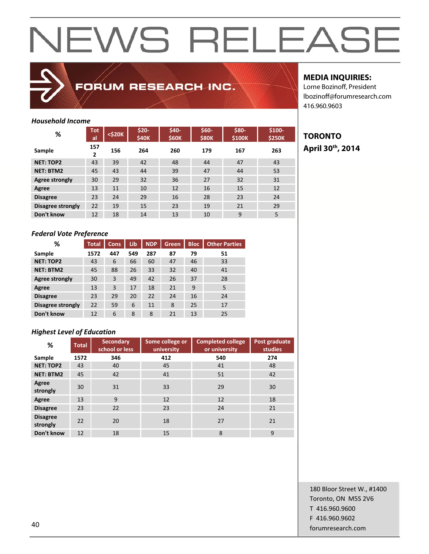

FORUM RESEARCH INC.

## *Household Income*

| %                 | <b>Tot</b><br>al    | <\$20K | \$20-<br><b>\$40K</b> | \$40-<br><b>\$60K</b> | \$60-<br><b>\$80K</b> | \$80-<br>\$100K | \$100-<br><b>\$250K</b> |
|-------------------|---------------------|--------|-----------------------|-----------------------|-----------------------|-----------------|-------------------------|
| Sample            | 157<br>$\mathbf{2}$ | 156    | 264                   | 260                   | 179                   | 167             | 263                     |
| <b>NET: TOP2</b>  | 43                  | 39     | 42                    | 48                    | 44                    | 47              | 43                      |
| <b>NET: BTM2</b>  | 45                  | 43     | 44                    | 39                    | 47                    | 44              | 53                      |
| Agree strongly    | 30                  | 29     | 32                    | 36                    | 27                    | 32              | 31                      |
| Agree             | 13                  | 11     | 10                    | 12                    | 16                    | 15              | 12                      |
| <b>Disagree</b>   | 23                  | 24     | 29                    | 16                    | 28                    | 23              | 24                      |
| Disagree strongly | 22                  | 19     | 15                    | 23                    | 19                    | 21              | 29                      |
| Don't know        | 12                  | 18     | 14                    | 13                    | 10                    | 9               | 5                       |

### *Federal Vote Preference*

| %                 | <b>Total</b> | <b>Cons</b> | Lib | <b>NDP</b> | Green | <b>Bloc</b> | <b>Other Parties</b> |
|-------------------|--------------|-------------|-----|------------|-------|-------------|----------------------|
| Sample            | 1572         | 447         | 549 | 287        | 87    | 79          | 51                   |
| <b>NET: TOP2</b>  | 43           | 6           | 66  | 60         | 47    | 46          | 33                   |
| <b>NET: BTM2</b>  | 45           | 88          | 26  | 33         | 32    | 40          | 41                   |
| Agree strongly    | 30           | 3           | 49  | 42         | 26    | 37          | 28                   |
| Agree             | 13           | 3           | 17  | 18         | 21    | 9           | 5                    |
| <b>Disagree</b>   | 23           | 29          | 20  | 22         | 24    | 16          | 24                   |
| Disagree strongly | 22           | 59          | 6   | 11         | 8     | 25          | 17                   |
| Don't know        | 12           | 6           | 8   | 8          | 21    | 13          | 25                   |

## *Highest Level of Education*

| %                           | <b>Total</b> | <b>Secondary</b><br>school or less | Some college or<br>university | <b>Completed college</b><br>or university | Post graduate<br><b>studies</b> |
|-----------------------------|--------------|------------------------------------|-------------------------------|-------------------------------------------|---------------------------------|
| Sample                      | 1572         | 346                                | 412                           | 540                                       | 274                             |
| <b>NET: TOP2</b>            | 43           | 40                                 | 45                            | 41                                        | 48                              |
| <b>NET: BTM2</b>            | 45           | 42                                 | 41                            | 51                                        | 42                              |
| Agree<br>strongly           | 30           | 31                                 | 33                            | 29                                        | 30                              |
| Agree                       | 13           | 9                                  | 12                            | 12                                        | 18                              |
| <b>Disagree</b>             | 23           | 22                                 | 23                            | 24                                        | 21                              |
| <b>Disagree</b><br>strongly | 22           | 20                                 | 18                            | 27                                        | 21                              |
| Don't know                  | 12           | 18                                 | 15                            | 8                                         | 9                               |

## **MEDIA INQUIRIES:**

Lorne Bozinoff, President lbozinoff@forumresearch.com 416.960.9603

## **TORONTO April 30th, 2014**

180 Bloor Street W., #1400 Toronto, ON M5S 2V6 T 416.960.9600 F 416.960.9602 example to the contract of the contract of the contract of the contract of the contract of the contract of the contract of the contract of the contract of the contract of the contract of the contract of the contract of the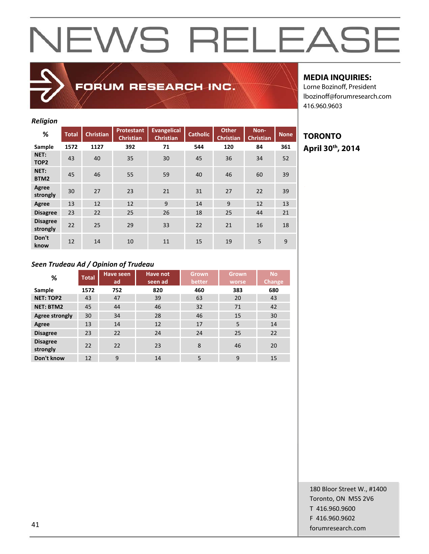## *Religion*

| %                           | <b>Total</b> | <b>Christian</b> | <b>Protestant</b><br><b>Christian</b> | Evangelical<br><b>Christian</b> | <b>Catholic</b> | <b>Other</b><br><b>Christian</b> | Non-<br><b>Christian</b> | <b>None</b> |
|-----------------------------|--------------|------------------|---------------------------------------|---------------------------------|-----------------|----------------------------------|--------------------------|-------------|
| Sample                      | 1572         | 1127             | 392                                   | 71                              | 544             | 120                              | 84                       | 361         |
| NET:<br>TOP <sub>2</sub>    | 43           | 40               | 35                                    | 30                              | 45              | 36                               | 34                       | 52          |
| NET:<br>BTM2                | 45           | 46               | 55                                    | 59                              | 40              | 46                               | 60                       | 39          |
| Agree<br>strongly           | 30           | 27               | 23                                    | 21                              | 31              | 27                               | 22                       | 39          |
| Agree                       | 13           | 12               | 12                                    | 9                               | 14              | 9                                | 12                       | 13          |
| <b>Disagree</b>             | 23           | 22               | 25                                    | 26                              | 18              | 25                               | 44                       | 21          |
| <b>Disagree</b><br>strongly | 22           | 25               | 29                                    | 33                              | 22              | 21                               | 16                       | 18          |
| Don't<br>know               | 12           | 14               | 10                                    | 11                              | 15              | 19                               | 5                        | 9           |

FORUM RESEARCH INC.

## **MEDIA INQUIRIES:**

Lorne Bozinoff, President lbozinoff@forumresearch.com 416.960.9603

## **TORONTO April 30th, 2014**

### *Seen Trudeau Ad / Opinion of Trudeau*

| %                           | <b>Total</b> | <b>Have seen</b> | Have not | <b>Grown</b> | <b>Grown</b> | <b>No</b> |
|-----------------------------|--------------|------------------|----------|--------------|--------------|-----------|
|                             |              | ad               | seen ad  | better       | worse        | Change    |
| Sample                      | 1572         | 752              | 820      | 460          | 383          | 680       |
| <b>NET: TOP2</b>            | 43           | 47               | 39       | 63           | 20           | 43        |
| <b>NET: BTM2</b>            | 45           | 44               | 46       | 32           | 71           | 42        |
| Agree strongly              | 30           | 34               | 28       | 46           | 15           | 30        |
| Agree                       | 13           | 14               | 12       | 17           | 5            | 14        |
| <b>Disagree</b>             | 23           | 22               | 24       | 24           | 25           | 22        |
| <b>Disagree</b><br>strongly | 22           | 22               | 23       | 8            | 46           | 20        |
| Don't know                  | 12           | 9                | 14       | 5            | 9            | 15        |

180 Bloor Street W., #1400 Toronto, ON M5S 2V6 T 416.960.9600 F 416.960.9602 example and the contract of the contract of the contract of the contract of the contract of the contract of the contract of the contract of the contract of the contract of the contract of the contract of the contract of th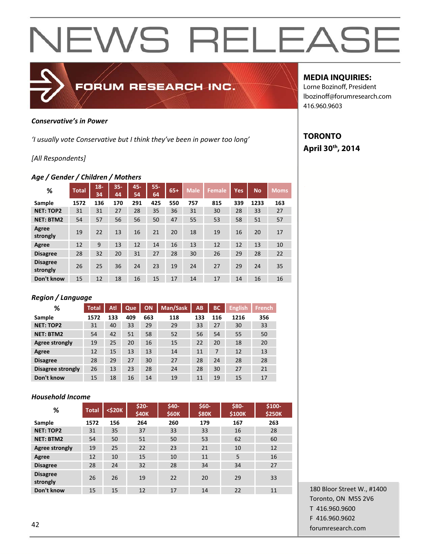

### *Conservative's in Power*

*'I usually vote Conservative but I think they've been in power too long'* 

## *[All Respondents]*

## *Age / Gender / Children / Mothers*

| %                           | <b>Total</b> | $18 -$<br>34 | $35 -$<br>44 | 45-<br>54 | $55 -$<br>64 | $65+$ | <b>Male</b> | <b>Female</b> | <b>Yes</b> | <b>No</b> | <b>Moms</b> |
|-----------------------------|--------------|--------------|--------------|-----------|--------------|-------|-------------|---------------|------------|-----------|-------------|
| Sample                      | 1572         | 136          | 170          | 291       | 425          | 550   | 757         | 815           | 339        | 1233      | 163         |
| <b>NET: TOP2</b>            | 31           | 31           | 27           | 28        | 35           | 36    | 31          | 30            | 28         | 33        | 27          |
| <b>NET: BTM2</b>            | 54           | 57           | 56           | 56        | 50           | 47    | 55          | 53            | 58         | 51        | 57          |
| Agree<br>strongly           | 19           | 22           | 13           | 16        | 21           | 20    | 18          | 19            | 16         | 20        | 17          |
| Agree                       | 12           | 9            | 13           | 12        | 14           | 16    | 13          | 12            | 12         | 13        | 10          |
| <b>Disagree</b>             | 28           | 32           | 20           | 31        | 27           | 28    | 30          | 26            | 29         | 28        | 22          |
| <b>Disagree</b><br>strongly | 26           | 25           | 36           | 24        | 23           | 19    | 24          | 27            | 29         | 24        | 35          |
| Don't know                  | 15           | 12           | 18           | 16        | 15           | 17    | 14          | 17            | 14         | 16        | 16          |

## *Region / Language*

| ℅                 | <b>Total</b> | Atl | Que | ON  | Man/Sask | AB  | <b>BC</b> | <b>English</b> | <b>French</b> |
|-------------------|--------------|-----|-----|-----|----------|-----|-----------|----------------|---------------|
| Sample            | 1572         | 133 | 409 | 663 | 118      | 133 | 116       | 1216           | 356           |
| <b>NET: TOP2</b>  | 31           | 40  | 33  | 29  | 29       | 33  | 27        | 30             | 33            |
| <b>NET: BTM2</b>  | 54           | 42  | 51  | 58  | 52       | 56  | 54        | 55             | 50            |
| Agree strongly    | 19           | 25  | 20  | 16  | 15       | 22  | 20        | 18             | 20            |
| Agree             | 12           | 15  | 13  | 13  | 14       | 11  | 7         | 12             | 13            |
| <b>Disagree</b>   | 28           | 29  | 27  | 30  | 27       | 28  | 24        | 28             | 28            |
| Disagree strongly | 26           | 13  | 23  | 28  | 24       | 28  | 30        | 27             | 21            |
| Don't know        | 15           | 18  | 16  | 14  | 19       | 11  | 19        | 15             | 17            |

## *Household Income*

| %                           | <b>Total</b> | $<$ \$20 $K$ | $$20-$<br><b>\$40K</b> | \$40-<br><b>\$60K</b> | $$60-$<br><b>\$80K</b> | \$80-<br>\$100K | $$100-$<br><b>\$250K</b> |
|-----------------------------|--------------|--------------|------------------------|-----------------------|------------------------|-----------------|--------------------------|
| Sample                      | 1572         | 156          | 264                    | 260                   | 179                    | 167             | 263                      |
| <b>NET: TOP2</b>            | 31           | 35           | 37                     | 33                    | 33                     | 16              | 28                       |
| <b>NET: BTM2</b>            | 54           | 50           | 51                     | 50                    | 53                     | 62              | 60                       |
| Agree strongly              | 19           | 25           | 22                     | 23                    | 21                     | 10              | 12                       |
| Agree                       | 12           | 10           | 15                     | 10                    | 11                     | 5               | 16                       |
| <b>Disagree</b>             | 28           | 24           | 32                     | 28                    | 34                     | 34              | 27                       |
| <b>Disagree</b><br>strongly | 26           | 26           | 19                     | 22                    | 20                     | 29              | 33                       |
| Don't know                  | 15           | 15           | 12                     | 17                    | 14                     | 22              | 11                       |

## **MEDIA INQUIRIES:**

Lorne Bozinoff, President lbozinoff@forumresearch.com 416.960.9603

## **TORONTO April 30th, 2014**

180 Bloor Street W., #1400 Toronto, ON M5S 2V6 T 416.960.9600 F 416.960.9602 example to the contract of the contract of the contract of the contract of the contract of the contract of the contract of the contract of the contract of the contract of the contract of the contract of the contract of the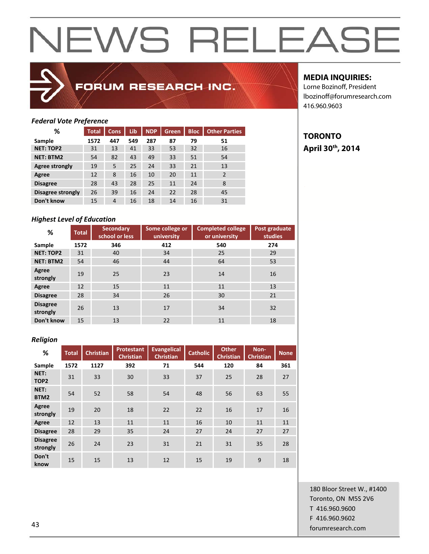

## FORUM RESEARCH INC.

## **MEDIA INQUIRIES:**

**TORONTO** 

**April 30th, 2014** 

Lorne Bozinoff, President lbozinoff@forumresearch.com 416.960.9603

## *Federal Vote Preference*

| %                 | Total | <b>Cons</b>    | Lib | <b>NDP</b> | Green. | <b>Bloc</b> | <b>Other Parties</b> |
|-------------------|-------|----------------|-----|------------|--------|-------------|----------------------|
| Sample            | 1572  | 447            | 549 | 287        | 87     | 79          | 51                   |
| <b>NET: TOP2</b>  | 31    | 13             | 41  | 33         | 53     | 32          | 16                   |
| <b>NET: BTM2</b>  | 54    | 82             | 43  | 49         | 33     | 51          | 54                   |
| Agree strongly    | 19    | 5              | 25  | 24         | 33     | 21          | 13                   |
| Agree             | 12    | 8              | 16  | 10         | 20     | 11          | $\overline{2}$       |
| <b>Disagree</b>   | 28    | 43             | 28  | 25         | 11     | 24          | 8                    |
| Disagree strongly | 26    | 39             | 16  | 24         | 22     | 28          | 45                   |
| Don't know        | 15    | $\overline{4}$ | 16  | 18         | 14     | 16          | 31                   |

## *Highest Level of Education*

| %                           | Total | <b>Secondary</b><br>school or less | Some college or<br>university | <b>Completed college</b><br>or university | Post graduate<br><b>studies</b> |
|-----------------------------|-------|------------------------------------|-------------------------------|-------------------------------------------|---------------------------------|
| Sample                      | 1572  | 346                                | 412                           | 540                                       | 274                             |
| <b>NET: TOP2</b>            | 31    | 40                                 | 34                            | 25                                        | 29                              |
| <b>NET: BTM2</b>            | 54    | 46                                 | 44                            | 64                                        | 53                              |
| Agree<br>strongly           | 19    | 25                                 | 23                            | 14                                        | 16                              |
| Agree                       | 12    | 15                                 | 11                            | 11                                        | 13                              |
| <b>Disagree</b>             | 28    | 34                                 | 26                            | 30                                        | 21                              |
| <b>Disagree</b><br>strongly | 26    | 13                                 | 17                            | 34                                        | 32                              |
| Don't know                  | 15    | 13                                 | 22                            | 11                                        | 18                              |

### *Religion*

| %                           | <b>Total</b> | <b>Christian</b> | <b>Protestant</b><br><b>Christian</b> | <b>Evangelical</b><br><b>Christian</b> | <b>Catholic</b> | <b>Other</b><br><b>Christian</b> | Non-<br><b>Christian</b> | <b>None</b> |
|-----------------------------|--------------|------------------|---------------------------------------|----------------------------------------|-----------------|----------------------------------|--------------------------|-------------|
| Sample                      | 1572         | 1127             | 392                                   | 71                                     | 544             | 120                              | 84                       | 361         |
| NET:<br>TOP <sub>2</sub>    | 31           | 33               | 30                                    | 33                                     | 37              | 25                               | 28                       | 27          |
| NET:<br>BTM2                | 54           | 52               | 58                                    | 54                                     | 48              | 56                               | 63                       | 55          |
| Agree<br>strongly           | 19           | 20               | 18                                    | 22                                     | 22              | 16                               | 17                       | 16          |
| Agree                       | 12           | 13               | 11                                    | 11                                     | 16              | 10                               | 11                       | 11          |
| <b>Disagree</b>             | 28           | 29               | 35                                    | 24                                     | 27              | 24                               | 27                       | 27          |
| <b>Disagree</b><br>strongly | 26           | 24               | 23                                    | 31                                     | 21              | 31                               | 35                       | 28          |
| Don't<br>know               | 15           | 15               | 13                                    | 12                                     | 15              | 19                               | 9                        | 18          |

180 Bloor Street W., #1400 Toronto, ON M5S 2V6 T 416.960.9600 F 416.960.9602 example and the contract of the contract of the contract of the contract of the contract of the contract of the contract of the contract of the contract of the contract of the contract of the contract of the contract of th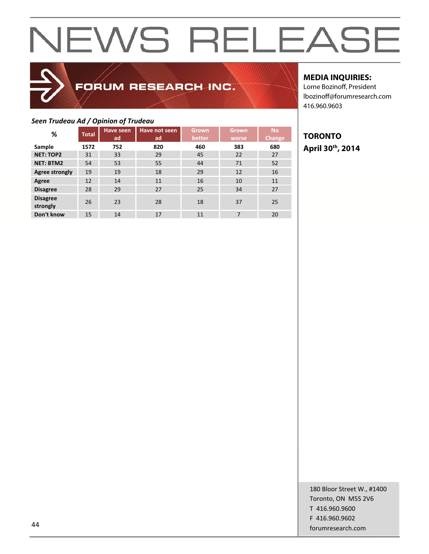## FORUM RESEARCH INC.

## **MEDIA INQUIRIES:**

Lorne Bozinoff, President lbozinoff@forumresearch.com 416.960.9603

## *Seen Trudeau Ad / Opinion of Trudeau*

| %                           | <b>Total</b> | <b>Have seen</b><br>ad | <b>Have not seen</b><br>ad | <b>Grown</b><br>better | <b>Grown</b><br>worse | <b>No</b><br><b>Change</b> |
|-----------------------------|--------------|------------------------|----------------------------|------------------------|-----------------------|----------------------------|
| Sample                      | 1572         | 752                    | 820                        | 460                    | 383                   | 680                        |
| <b>NET: TOP2</b>            | 31           | 33                     | 29                         | 45                     | 22                    | 27                         |
| <b>NET: BTM2</b>            | 54           | 53                     | 55                         | 44                     | 71                    | 52                         |
| <b>Agree strongly</b>       | 19           | 19                     | 18                         | 29                     | 12                    | 16                         |
| Agree                       | 12           | 14                     | 11                         | 16                     | 10                    | 11                         |
| <b>Disagree</b>             | 28           | 29                     | 27                         | 25                     | 34                    | 27                         |
| <b>Disagree</b><br>strongly | 26           | 23                     | 28                         | 18                     | 37                    | 25                         |
| Don't know                  | 15           | 14                     | 17                         | 11                     | 7                     | 20                         |

## **TORONTO April 30th, 2014**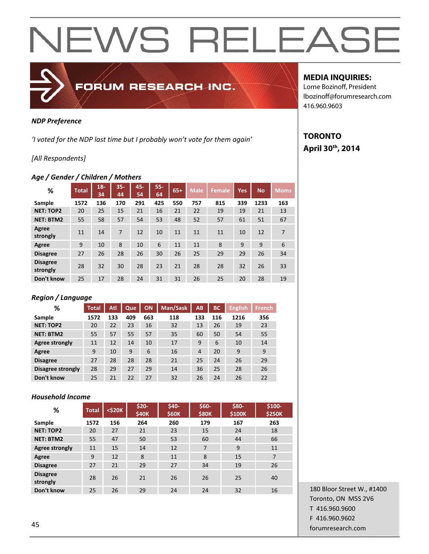

## *NDP Preference*

*'I voted for the NDP last time but I probably won't vote for them again'* 

## *[All Respondents]*

### *Age / Gender / Children / Mothers*

| %                           | <b>Total</b> | $18 -$<br>34 | $35 -$<br>44 | 45-<br>54 | $55 -$<br>64 | $65+$ | <b>Male</b> | <b>Female</b> | <b>Yes</b> | <b>No</b> | <b>Moms</b> |
|-----------------------------|--------------|--------------|--------------|-----------|--------------|-------|-------------|---------------|------------|-----------|-------------|
| Sample                      | 1572         | 136          | 170          | 291       | 425          | 550   | 757         | 815           | 339        | 1233      | 163         |
| <b>NET: TOP2</b>            | 20           | 25           | 15           | 21        | 16           | 21    | 22          | 19            | 19         | 21        | 13          |
| <b>NET: BTM2</b>            | 55           | 58           | 57           | 54        | 53           | 48    | 52          | 57            | 61         | 51        | 67          |
| Agree<br>strongly           | 11           | 14           | 7            | 12        | 10           | 11    | 11          | 11            | 10         | 12        | 7           |
| Agree                       | 9            | 10           | 8            | 10        | 6            | 11    | 11          | 8             | 9          | 9         | 6           |
| <b>Disagree</b>             | 27           | 26           | 28           | 26        | 30           | 26    | 25          | 29            | 29         | 26        | 34          |
| <b>Disagree</b><br>strongly | 28           | 32           | 30           | 28        | 23           | 21    | 28          | 28            | 32         | 26        | 33          |
| Don't know                  | 25           | 17           | 28           | 24        | 31           | 31    | 26          | 25            | 20         | 28        | 19          |

## *Region / Language*

| ℅                 | <b>Total</b> | Atl | Que | ON  | Man/Sask | AB  | <b>BC</b> | <b>English</b> | <b>French</b> |
|-------------------|--------------|-----|-----|-----|----------|-----|-----------|----------------|---------------|
| Sample            | 1572         | 133 | 409 | 663 | 118      | 133 | 116       | 1216           | 356           |
| <b>NET: TOP2</b>  | 20           | 22  | 23  | 16  | 32       | 13  | 26        | 19             | 23            |
| <b>NET: BTM2</b>  | 55           | 57  | 55  | 57  | 35       | 60  | 50        | 54             | 55            |
| Agree strongly    | 11           | 12  | 14  | 10  | 17       | 9   | 6         | 10             | 14            |
| Agree             | 9            | 10  | 9   | 6   | 16       | 4   | 20        | 9              | 9             |
| <b>Disagree</b>   | 27           | 28  | 28  | 28  | 21       | 25  | 24        | 26             | 29            |
| Disagree strongly | 28           | 29  | 27  | 29  | 14       | 36  | 25        | 28             | 26            |
| Don't know        | 25           | 21  | 22  | 27  | 32       | 26  | 24        | 26             | 22            |

## *Household Income*

| %                           | <b>Total</b> | $<$ \$20 $K$ | $$20-$<br><b>\$40K</b> | \$40-<br><b>\$60K</b> | \$60-<br><b>\$80K</b> | <b>\$80-</b><br>\$100K | \$100-<br><b>\$250K</b> |
|-----------------------------|--------------|--------------|------------------------|-----------------------|-----------------------|------------------------|-------------------------|
| Sample                      | 1572         | 156          | 264                    | 260                   | 179                   | 167                    | 263                     |
| <b>NET: TOP2</b>            | 20           | 27           | 21                     | 23                    | 15                    | 24                     | 18                      |
| <b>NET: BTM2</b>            | 55           | 47           | 50                     | 53                    | 60                    | 44                     | 66                      |
| Agree strongly              | 11           | 15           | 14                     | 12                    | 7                     | 9                      | 11                      |
| Agree                       | 9            | 12           | 8                      | 11                    | 8                     | 15                     | 7                       |
| <b>Disagree</b>             | 27           | 21           | 29                     | 27                    | 34                    | 19                     | 26                      |
| <b>Disagree</b><br>strongly | 28           | 26           | 21                     | 26                    | 26                    | 25                     | 40                      |
| Don't know                  | 25           | 26           | 29                     | 24                    | 24                    | 32                     | 16                      |

## **MEDIA INQUIRIES:**

Lorne Bozinoff, President lbozinoff@forumresearch.com 416.960.9603

## **TORONTO April 30th, 2014**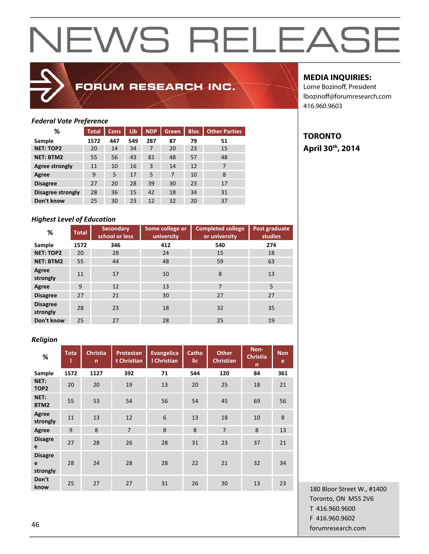

## FORUM RESEARCH INC.

## **MEDIA INQUIRIES:**

**TORONTO** 

**April 30th, 2014** 

Lorne Bozinoff, President lbozinoff@forumresearch.com 416.960.9603

## *Federal Vote Preference*

| %                        | <b>Total</b> | <b>Cons</b> | Lib | <b>NDP</b> | <b>Green</b> | <b>Bloc</b> | <b>Other Parties</b> |
|--------------------------|--------------|-------------|-----|------------|--------------|-------------|----------------------|
| Sample                   | 1572         | 447         | 549 | 287        | 87           | 79          | 51                   |
| <b>NET: TOP2</b>         | 20           | 14          | 34  | 7          | 20           | 23          | 15                   |
| <b>NET: BTM2</b>         | 55           | 56          | 43  | 81         | 48           | 57          | 48                   |
| Agree strongly           | 11           | 10          | 16  | 3          | 14           | 12          | 7                    |
| Agree                    | 9            | 5           | 17  | 5          | 7            | 10          | 8                    |
| <b>Disagree</b>          | 27           | 20          | 28  | 39         | 30           | 23          | 17                   |
| <b>Disagree strongly</b> | 28           | 36          | 15  | 42         | 18           | 34          | 31                   |
| Don't know               | 25           | 30          | 23  | 12         | 32           | 20          | 37                   |

## *Highest Level of Education*

| %                           | <b>Total</b> | <b>Secondary</b><br>school or less | Some college or<br>university | <b>Completed college</b><br>or university | Post graduate<br>studies |
|-----------------------------|--------------|------------------------------------|-------------------------------|-------------------------------------------|--------------------------|
| Sample                      | 1572         | 346                                | 412                           | 540                                       | 274                      |
| <b>NET: TOP2</b>            | 20           | 28                                 | 24                            | 15                                        | 18                       |
| <b>NET: BTM2</b>            | 55           | 44                                 | 48                            | 59                                        | 63                       |
| Agree<br>strongly           | 11           | 17                                 | 10                            | 8                                         | 13                       |
| Agree                       | 9            | 12                                 | 13                            | $\overline{7}$                            | 5                        |
| <b>Disagree</b>             | 27           | 21                                 | 30                            | 27                                        | 27                       |
| <b>Disagree</b><br>strongly | 28           | 23                                 | 18                            | 32                                        | 35                       |
| Don't know                  | 25           | 27                                 | 28                            | 25                                        | 19                       |

### *Religion*

| -<br>%                          | <b>Tota</b> | <b>Christia</b><br>$\mathsf{n}$ | Protestan<br>t Christian | <b>Evangelica</b><br>I Christian | Catho<br>lic. | <b>Other</b><br><b>Christian</b> | Non-<br><b>Christia</b><br>$\mathsf{n}$ | <b>Non</b><br>e |
|---------------------------------|-------------|---------------------------------|--------------------------|----------------------------------|---------------|----------------------------------|-----------------------------------------|-----------------|
| Sample                          | 1572        | 1127                            | 392                      | 71                               | 544           | 120                              | 84                                      | 361             |
| NET:<br>TOP <sub>2</sub>        | 20          | 20                              | 19                       | 13                               | 20            | 25                               | 18                                      | 21              |
| NET:<br>BTM2                    | 55          | 53                              | 54                       | 56                               | 54            | 45                               | 69                                      | 56              |
| Agree<br>strongly               | 11          | 13                              | 12                       | 6                                | 13            | 18                               | 10                                      | 8               |
| Agree                           | 9           | 8                               | $\overline{7}$           | 8                                | 8             | $\overline{7}$                   | 8                                       | 13              |
| <b>Disagre</b><br>e             | 27          | 28                              | 26                       | 28                               | 31            | 23                               | 37                                      | 21              |
| <b>Disagre</b><br>e<br>strongly | 28          | 24                              | 28                       | 28                               | 22            | 21                               | 32                                      | 34              |
| Don't<br>know                   | 25          | 27                              | 27                       | 31                               | 26            | 30                               | 13                                      | 23              |

180 Bloor Street W., #1400 Toronto, ON M5S 2V6 T 416.960.9600 F 416.960.9602 example to the contract of the contract of the contract of the contract of the contract of the contract of the contract of the contract of the contract of the contract of the contract of the contract of the contract of the